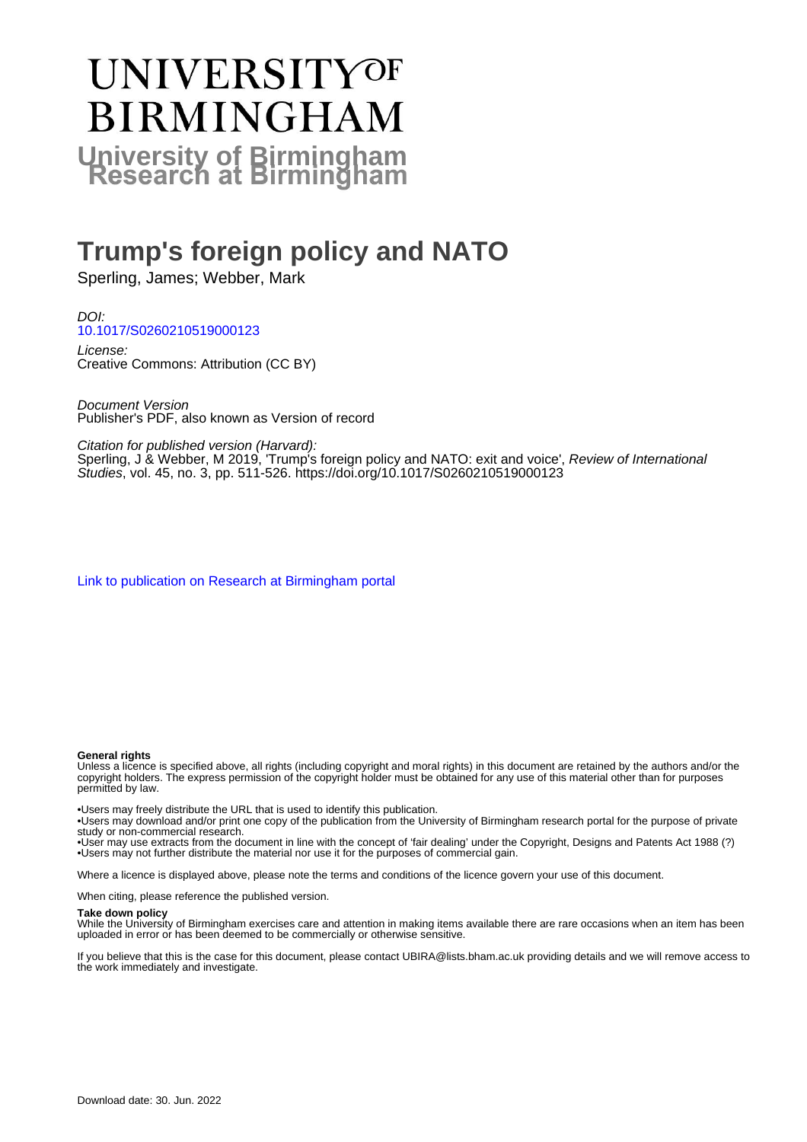# **UNIVERSITYOF BIRMINGHAM University of Birmingham**

## **Trump's foreign policy and NATO**

Sperling, James; Webber, Mark

DOI: [10.1017/S0260210519000123](https://doi.org/10.1017/S0260210519000123)

License: Creative Commons: Attribution (CC BY)

Document Version Publisher's PDF, also known as Version of record

Citation for published version (Harvard):

Sperling, J & Webber, M 2019, 'Trump's foreign policy and NATO: exit and voice', *Review of International* Studies, vol. 45, no. 3, pp. 511-526. <https://doi.org/10.1017/S0260210519000123>

[Link to publication on Research at Birmingham portal](https://birmingham.elsevierpure.com/en/publications/93352d4d-af06-43f0-aa04-5ecb81caebc2)

#### **General rights**

Unless a licence is specified above, all rights (including copyright and moral rights) in this document are retained by the authors and/or the copyright holders. The express permission of the copyright holder must be obtained for any use of this material other than for purposes permitted by law.

• Users may freely distribute the URL that is used to identify this publication.

• Users may download and/or print one copy of the publication from the University of Birmingham research portal for the purpose of private study or non-commercial research.

• User may use extracts from the document in line with the concept of 'fair dealing' under the Copyright, Designs and Patents Act 1988 (?) • Users may not further distribute the material nor use it for the purposes of commercial gain.

Where a licence is displayed above, please note the terms and conditions of the licence govern your use of this document.

When citing, please reference the published version.

#### **Take down policy**

While the University of Birmingham exercises care and attention in making items available there are rare occasions when an item has been uploaded in error or has been deemed to be commercially or otherwise sensitive.

If you believe that this is the case for this document, please contact UBIRA@lists.bham.ac.uk providing details and we will remove access to the work immediately and investigate.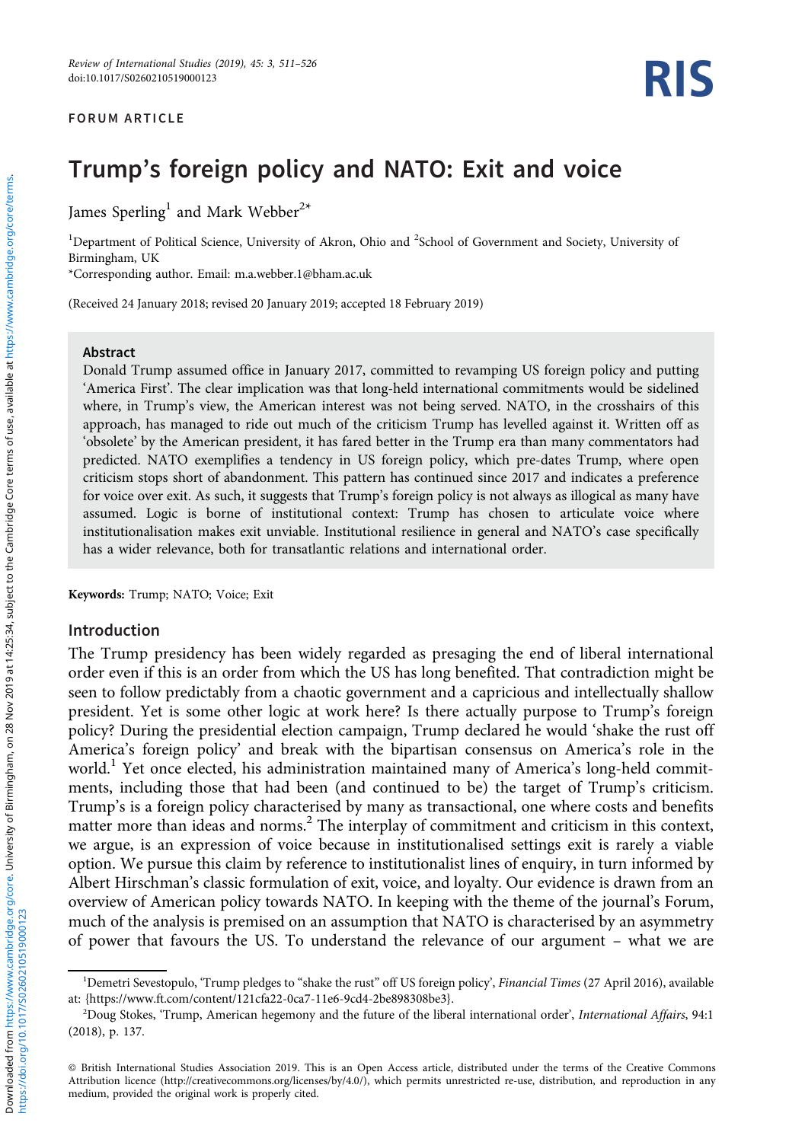#### FORUM ARTICLE

### Trump's foreign policy and NATO: Exit and voice

James Sperling<sup>1</sup> and Mark Webber<sup>2\*</sup>

<sup>1</sup>Department of Political Science, University of Akron, Ohio and <sup>2</sup>School of Government and Society, University of Birmingham, UK

\*Corresponding author. Email: [m.a.webber.1@bham.ac.uk](mailto:m.a.webber.1@bham.ac.uk)

(Received 24 January 2018; revised 20 January 2019; accepted 18 February 2019)

#### Abstract

Donald Trump assumed office in January 2017, committed to revamping US foreign policy and putting 'America First'. The clear implication was that long-held international commitments would be sidelined where, in Trump's view, the American interest was not being served. NATO, in the crosshairs of this approach, has managed to ride out much of the criticism Trump has levelled against it. Written off as 'obsolete' by the American president, it has fared better in the Trump era than many commentators had predicted. NATO exemplifies a tendency in US foreign policy, which pre-dates Trump, where open criticism stops short of abandonment. This pattern has continued since 2017 and indicates a preference for voice over exit. As such, it suggests that Trump's foreign policy is not always as illogical as many have assumed. Logic is borne of institutional context: Trump has chosen to articulate voice where institutionalisation makes exit unviable. Institutional resilience in general and NATO's case specifically has a wider relevance, both for transatlantic relations and international order.

Keywords: Trump; NATO; Voice; Exit

#### Introduction

The Trump presidency has been widely regarded as presaging the end of liberal international order even if this is an order from which the US has long benefited. That contradiction might be seen to follow predictably from a chaotic government and a capricious and intellectually shallow president. Yet is some other logic at work here? Is there actually purpose to Trump's foreign policy? During the presidential election campaign, Trump declared he would 'shake the rust off America's foreign policy' and break with the bipartisan consensus on America's role in the world.<sup>1</sup> Yet once elected, his administration maintained many of America's long-held commitments, including those that had been (and continued to be) the target of Trump's criticism. Trump's is a foreign policy characterised by many as transactional, one where costs and benefits matter more than ideas and norms.<sup>2</sup> The interplay of commitment and criticism in this context, we argue, is an expression of voice because in institutionalised settings exit is rarely a viable option. We pursue this claim by reference to institutionalist lines of enquiry, in turn informed by Albert Hirschman's classic formulation of exit, voice, and loyalty. Our evidence is drawn from an overview of American policy towards NATO. In keeping with the theme of the journal's Forum, much of the analysis is premised on an assumption that NATO is characterised by an asymmetry of power that favours the US. To understand the relevance of our argument – what we are

<sup>&</sup>lt;sup>1</sup>Demetri Sevestopulo, 'Trump pledges to "shake the rust" off US foreign policy', Financial Times (27 April 2016), available at: {[https://www.ft.com/content/121cfa22-0ca7-11e6-9cd4-2be898308be3}](https://www.ft.com/content/121cfa22-0ca7-11e6-9cd4-2be898308be3).

<sup>&</sup>lt;sup>2</sup>Doug Stokes, 'Trump, American hegemony and the future of the liberal international order', International Affairs, 94:1 (2018), p. 137.

<sup>©</sup> British International Studies Association 2019. This is an Open Access article, distributed under the terms of the Creative Commons Attribution licence (http://creativecommons.org/licenses/by/4.0/), which permits unrestricted re-use, distribution, and reproduction in any medium, provided the original work is properly cited.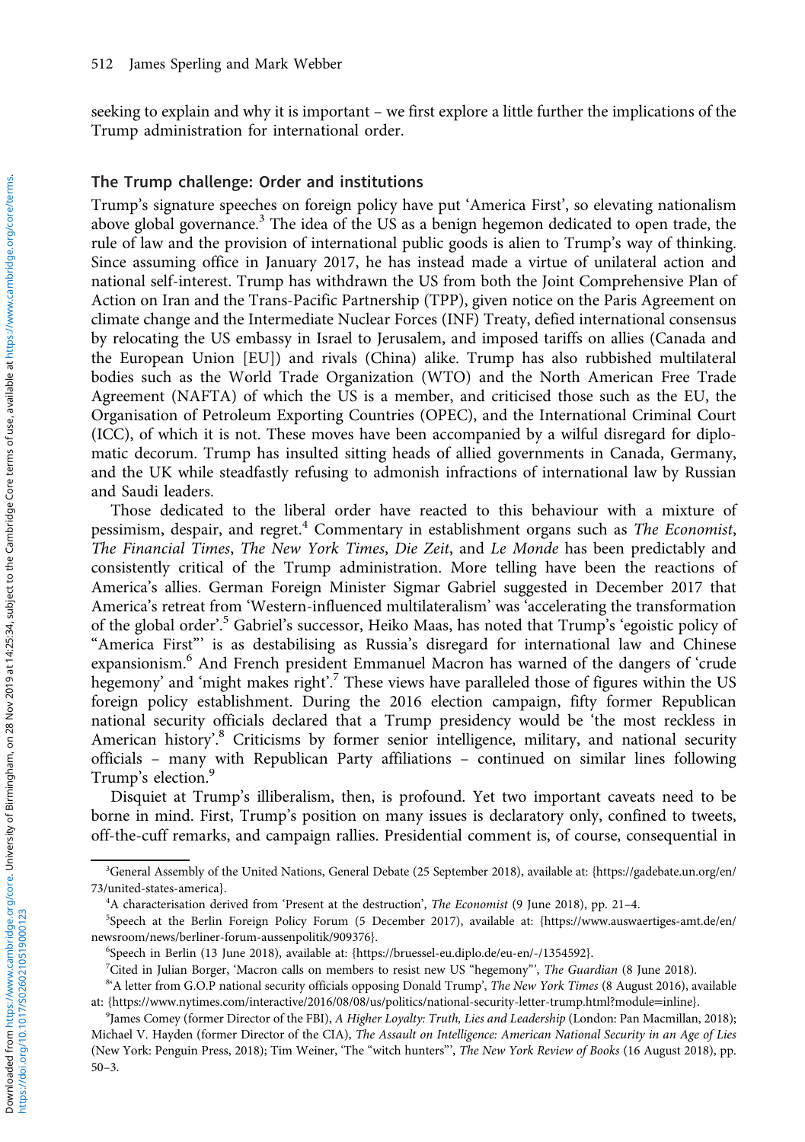seeking to explain and why it is important – we first explore a little further the implications of the Trump administration for international order.

#### The Trump challenge: Order and institutions

Trump's signature speeches on foreign policy have put 'America First', so elevating nationalism above global governance.<sup>3</sup> The idea of the US as a benign hegemon dedicated to open trade, the rule of law and the provision of international public goods is alien to Trump's way of thinking. Since assuming office in January 2017, he has instead made a virtue of unilateral action and national self-interest. Trump has withdrawn the US from both the Joint Comprehensive Plan of Action on Iran and the Trans-Pacific Partnership (TPP), given notice on the Paris Agreement on climate change and the Intermediate Nuclear Forces (INF) Treaty, defied international consensus by relocating the US embassy in Israel to Jerusalem, and imposed tariffs on allies (Canada and the European Union [EU]) and rivals (China) alike. Trump has also rubbished multilateral bodies such as the World Trade Organization (WTO) and the North American Free Trade Agreement (NAFTA) of which the US is a member, and criticised those such as the EU, the Organisation of Petroleum Exporting Countries (OPEC), and the International Criminal Court (ICC), of which it is not. These moves have been accompanied by a wilful disregard for diplomatic decorum. Trump has insulted sitting heads of allied governments in Canada, Germany, and the UK while steadfastly refusing to admonish infractions of international law by Russian and Saudi leaders.

Those dedicated to the liberal order have reacted to this behaviour with a mixture of pessimism, despair, and regret.<sup>4</sup> Commentary in establishment organs such as The Economist, The Financial Times, The New York Times, Die Zeit, and Le Monde has been predictably and consistently critical of the Trump administration. More telling have been the reactions of America's allies. German Foreign Minister Sigmar Gabriel suggested in December 2017 that America's retreat from 'Western-influenced multilateralism' was 'accelerating the transformation of the global order'.<sup>5</sup> Gabriel's successor, Heiko Maas, has noted that Trump's 'egoistic policy of "America First"' is as destabilising as Russia's disregard for international law and Chinese expansionism.<sup>6</sup> And French president Emmanuel Macron has warned of the dangers of 'crude hegemony' and 'might makes right'.<sup>7</sup> These views have paralleled those of figures within the US foreign policy establishment. During the 2016 election campaign, fifty former Republican national security officials declared that a Trump presidency would be 'the most reckless in American history'.<sup>8</sup> Criticisms by former senior intelligence, military, and national security officials – many with Republican Party affiliations – continued on similar lines following Trump's election.<sup>9</sup>

Disquiet at Trump's illiberalism, then, is profound. Yet two important caveats need to be borne in mind. First, Trump's position on many issues is declaratory only, confined to tweets, off-the-cuff remarks, and campaign rallies. Presidential comment is, of course, consequential in

<sup>3</sup> General Assembly of the United Nations, General Debate (25 September 2018), available at: [{https://gadebate.un.org/en/](https://gadebate.un.org/en/73/united-states-america) [73/united-states-america](https://gadebate.un.org/en/73/united-states-america)}.

<sup>&</sup>lt;sup>4</sup>A characterisation derived from 'Present at the destruction', The Economist (9 June 2018), pp. 21-4.

<sup>5</sup> Speech at the Berlin Foreign Policy Forum (5 December 2017), available at: {[https://www.auswaertiges-amt.de/en/](https://www.auswaertiges-amt.de/en/newsroom/news/berliner-forum-aussenpolitik/909376) [newsroom/news/berliner-forum-aussenpolitik/909376](https://www.auswaertiges-amt.de/en/newsroom/news/berliner-forum-aussenpolitik/909376)}.

<sup>6</sup> Speech in Berlin (13 June 2018), available at: [{https://bruessel-eu.diplo.de/eu-en/-/1354592](https://bruessel-eu.diplo.de/eu-en/-/1354592)}.

<sup>&</sup>lt;sup>7</sup>Cited in Julian Borger, 'Macron calls on members to resist new US "hegemony"', The Guardian (8 June 2018).

<sup>&</sup>lt;sup>8</sup> A letter from G.O.P national security officials opposing Donald Trump', The New York Times (8 August 2016), available at: {[https://www.nytimes.com/interactive/2016/08/08/us/politics/national-security-letter-trump.html?module](https://www.nytimes.com/interactive/2016�/�08/08/us/politics/national-security-letter-trump.html?module=inline)=inline}.

<sup>&</sup>lt;sup>9</sup>James Comey (former Director of the FBI), A Higher Loyalty: Truth, Lies and Leadership (London: Pan Macmillan, 2018); Michael V. Hayden (former Director of the CIA), The Assault on Intelligence: American National Security in an Age of Lies (New York: Penguin Press, 2018); Tim Weiner, 'The "witch hunters"', The New York Review of Books (16 August 2018), pp. 50–3.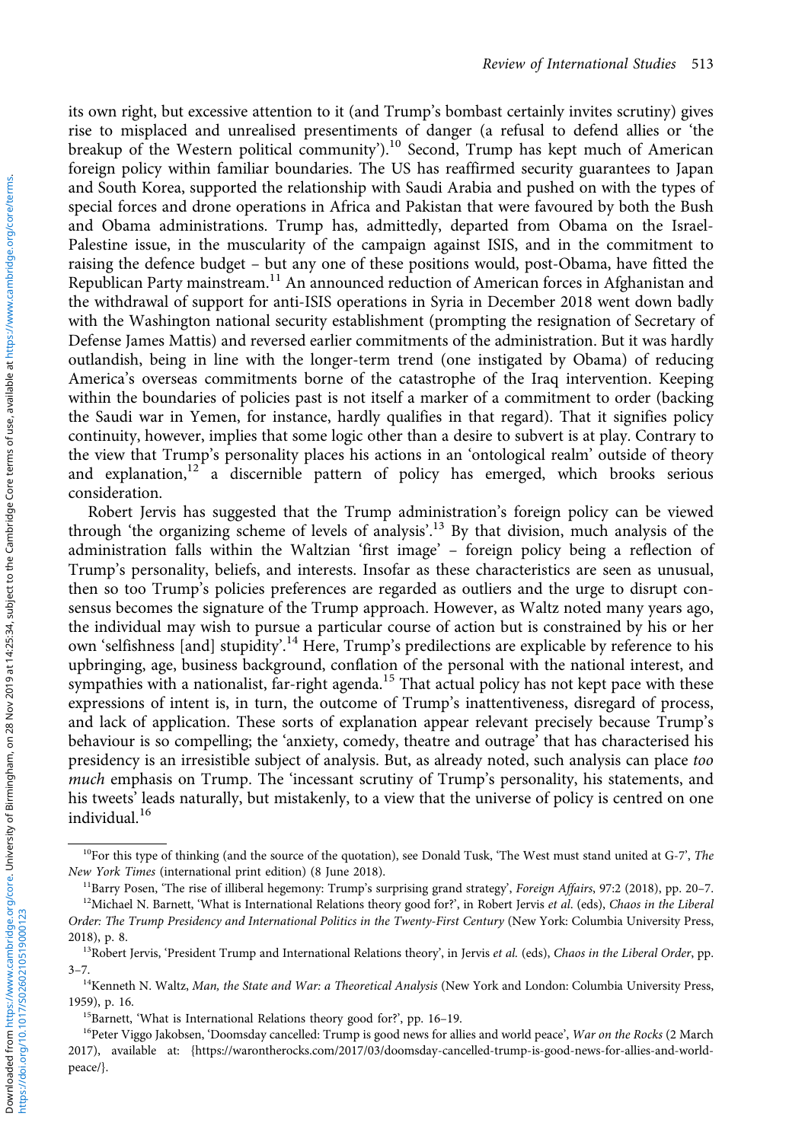its own right, but excessive attention to it (and Trump's bombast certainly invites scrutiny) gives rise to misplaced and unrealised presentiments of danger (a refusal to defend allies or 'the breakup of the Western political community').<sup>10</sup> Second, Trump has kept much of American foreign policy within familiar boundaries. The US has reaffirmed security guarantees to Japan and South Korea, supported the relationship with Saudi Arabia and pushed on with the types of special forces and drone operations in Africa and Pakistan that were favoured by both the Bush and Obama administrations. Trump has, admittedly, departed from Obama on the Israel-Palestine issue, in the muscularity of the campaign against ISIS, and in the commitment to raising the defence budget – but any one of these positions would, post-Obama, have fitted the Republican Party mainstream.<sup>11</sup> An announced reduction of American forces in Afghanistan and the withdrawal of support for anti-ISIS operations in Syria in December 2018 went down badly with the Washington national security establishment (prompting the resignation of Secretary of Defense James Mattis) and reversed earlier commitments of the administration. But it was hardly outlandish, being in line with the longer-term trend (one instigated by Obama) of reducing America's overseas commitments borne of the catastrophe of the Iraq intervention. Keeping within the boundaries of policies past is not itself a marker of a commitment to order (backing the Saudi war in Yemen, for instance, hardly qualifies in that regard). That it signifies policy continuity, however, implies that some logic other than a desire to subvert is at play. Contrary to the view that Trump's personality places his actions in an 'ontological realm' outside of theory and explanation,<sup>12</sup> a discernible pattern of policy has emerged, which brooks serious consideration.

Robert Jervis has suggested that the Trump administration's foreign policy can be viewed through 'the organizing scheme of levels of analysis'. <sup>13</sup> By that division, much analysis of the administration falls within the Waltzian 'first image' – foreign policy being a reflection of Trump's personality, beliefs, and interests. Insofar as these characteristics are seen as unusual, then so too Trump's policies preferences are regarded as outliers and the urge to disrupt consensus becomes the signature of the Trump approach. However, as Waltz noted many years ago, the individual may wish to pursue a particular course of action but is constrained by his or her own 'selfishness [and] stupidity'.<sup>14</sup> Here, Trump's predilections are explicable by reference to his upbringing, age, business background, conflation of the personal with the national interest, and sympathies with a nationalist, far-right agenda.<sup>15</sup> That actual policy has not kept pace with these expressions of intent is, in turn, the outcome of Trump's inattentiveness, disregard of process, and lack of application. These sorts of explanation appear relevant precisely because Trump's behaviour is so compelling; the 'anxiety, comedy, theatre and outrage' that has characterised his presidency is an irresistible subject of analysis. But, as already noted, such analysis can place too much emphasis on Trump. The 'incessant scrutiny of Trump's personality, his statements, and his tweets' leads naturally, but mistakenly, to a view that the universe of policy is centred on one individual.<sup>16</sup>

 $10$ For this type of thinking (and the source of the quotation), see Donald Tusk, 'The West must stand united at G-7', The New York Times (international print edition) (8 June 2018).

<sup>&</sup>lt;sup>11</sup>Barry Posen, 'The rise of illiberal hegemony: Trump's surprising grand strategy', Foreign Affairs, 97:2 (2018), pp. 20-7.  $12$ Michael N. Barnett, 'What is International Relations theory good for?', in Robert Jervis et al. (eds), Chaos in the Liberal

Order: The Trump Presidency and International Politics in the Twenty-First Century (New York: Columbia University Press, 2018), p. 8.

<sup>&</sup>lt;sup>13</sup>Robert Jervis, 'President Trump and International Relations theory', in Jervis et al. (eds), Chaos in the Liberal Order, pp. 3–7.

<sup>&</sup>lt;sup>14</sup>Kenneth N. Waltz, Man, the State and War: a Theoretical Analysis (New York and London: Columbia University Press, 1959), p. 16.

<sup>15</sup>Barnett, 'What is International Relations theory good for?', pp. 16–19.

<sup>&</sup>lt;sup>16</sup>Peter Viggo Jakobsen, 'Doomsday cancelled: Trump is good news for allies and world peace', War on the Rocks (2 March 2017), available at: {[https://warontherocks.com/2017/03/doomsday-cancelled-trump-is-good-news-for-allies-and-world](https://warontherocks.com/2017�/�03/doomsday-cancelled-trump-is-good-news-for-allies-and-world-peace/)[peace/}](https://warontherocks.com/2017�/�03/doomsday-cancelled-trump-is-good-news-for-allies-and-world-peace/).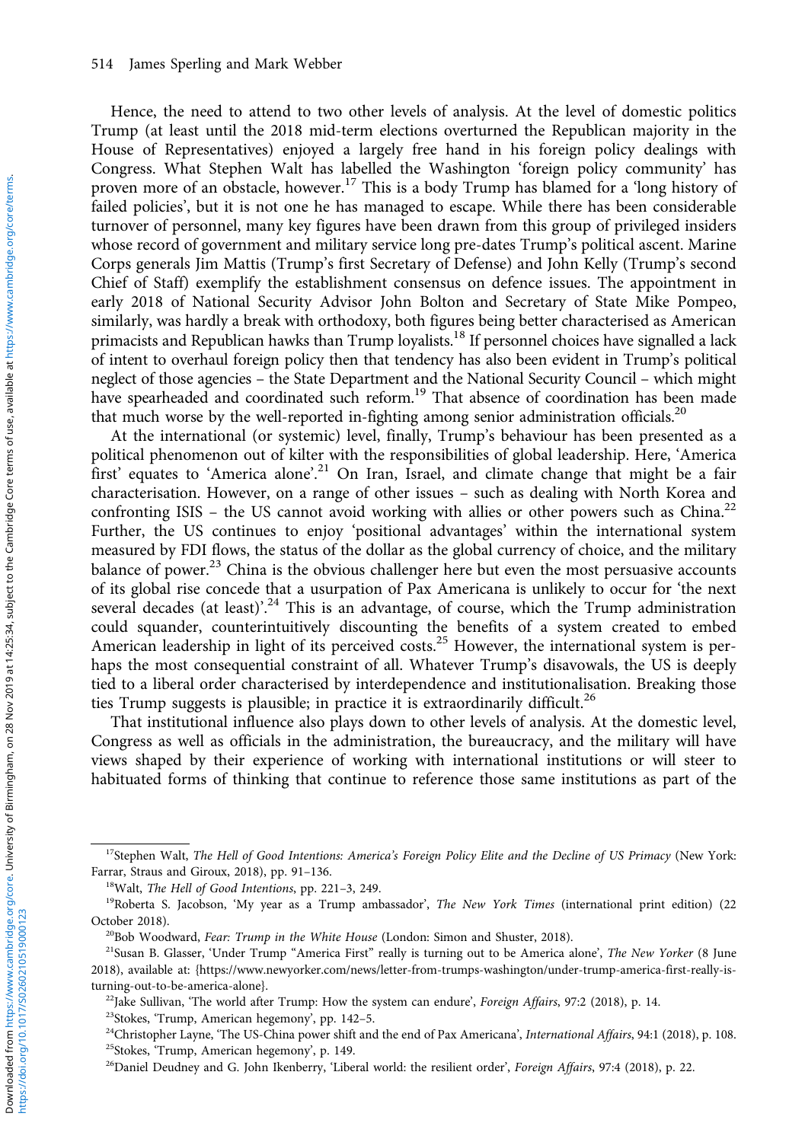Hence, the need to attend to two other levels of analysis. At the level of domestic politics Trump (at least until the 2018 mid-term elections overturned the Republican majority in the House of Representatives) enjoyed a largely free hand in his foreign policy dealings with Congress. What Stephen Walt has labelled the Washington 'foreign policy community' has proven more of an obstacle, however.<sup>17</sup> This is a body Trump has blamed for a 'long history of failed policies', but it is not one he has managed to escape. While there has been considerable turnover of personnel, many key figures have been drawn from this group of privileged insiders whose record of government and military service long pre-dates Trump's political ascent. Marine Corps generals Jim Mattis (Trump's first Secretary of Defense) and John Kelly (Trump's second Chief of Staff) exemplify the establishment consensus on defence issues. The appointment in early 2018 of National Security Advisor John Bolton and Secretary of State Mike Pompeo, similarly, was hardly a break with orthodoxy, both figures being better characterised as American primacists and Republican hawks than Trump loyalists.<sup>18</sup> If personnel choices have signalled a lack of intent to overhaul foreign policy then that tendency has also been evident in Trump's political neglect of those agencies – the State Department and the National Security Council – which might have spearheaded and coordinated such reform.<sup>19</sup> That absence of coordination has been made that much worse by the well-reported in-fighting among senior administration officials.<sup>20</sup>

At the international (or systemic) level, finally, Trump's behaviour has been presented as a political phenomenon out of kilter with the responsibilities of global leadership. Here, 'America first' equates to 'America alone'.<sup>21</sup> On Iran, Israel, and climate change that might be a fair characterisation. However, on a range of other issues – such as dealing with North Korea and confronting ISIS – the US cannot avoid working with allies or other powers such as China.<sup>22</sup> Further, the US continues to enjoy 'positional advantages' within the international system measured by FDI flows, the status of the dollar as the global currency of choice, and the military balance of power.<sup>23</sup> China is the obvious challenger here but even the most persuasive accounts of its global rise concede that a usurpation of Pax Americana is unlikely to occur for 'the next several decades (at least)'.<sup>24</sup> This is an advantage, of course, which the Trump administration could squander, counterintuitively discounting the benefits of a system created to embed American leadership in light of its perceived costs.<sup>25</sup> However, the international system is perhaps the most consequential constraint of all. Whatever Trump's disavowals, the US is deeply tied to a liberal order characterised by interdependence and institutionalisation. Breaking those ties Trump suggests is plausible; in practice it is extraordinarily difficult.<sup>26</sup>

That institutional influence also plays down to other levels of analysis. At the domestic level, Congress as well as officials in the administration, the bureaucracy, and the military will have views shaped by their experience of working with international institutions or will steer to habituated forms of thinking that continue to reference those same institutions as part of the

<sup>&</sup>lt;sup>17</sup>Stephen Walt, The Hell of Good Intentions: America's Foreign Policy Elite and the Decline of US Primacy (New York: Farrar, Straus and Giroux, 2018), pp. 91–136.

<sup>18</sup>Walt, The Hell of Good Intentions, pp. 221–3, 249.

<sup>&</sup>lt;sup>19</sup>Roberta S. Jacobson, 'My year as a Trump ambassador', *The New York Times* (international print edition) (22 October 2018).

<sup>&</sup>lt;sup>20</sup>Bob Woodward, Fear: Trump in the White House (London: Simon and Shuster, 2018).

<sup>&</sup>lt;sup>21</sup>Susan B. Glasser, 'Under Trump "America First" really is turning out to be America alone', The New Yorker (8 June 2018), available at: [{https://www.newyorker.com/news/letter-from-trumps-washington/under-trump-america-first-really-is](https://www.newyorker.com/news/letter-from-trumps-washington/under-trump-america-first-really-is-turning-out-to-be-america-alone)[turning-out-to-be-america-alone}](https://www.newyorker.com/news/letter-from-trumps-washington/under-trump-america-first-really-is-turning-out-to-be-america-alone).

 $^{22}$ Jake Sullivan, 'The world after Trump: How the system can endure', Foreign Affairs, 97:2 (2018), p. 14.

<sup>23</sup>Stokes, 'Trump, American hegemony', pp. 142–5.

<sup>&</sup>lt;sup>24</sup>Christopher Layne, 'The US-China power shift and the end of Pax Americana', International Affairs, 94:1 (2018), p. 108. 25Stokes, 'Trump, American hegemony', p. 149.

<sup>&</sup>lt;sup>26</sup>Daniel Deudney and G. John Ikenberry, 'Liberal world: the resilient order', Foreign Affairs, 97:4 (2018), p. 22.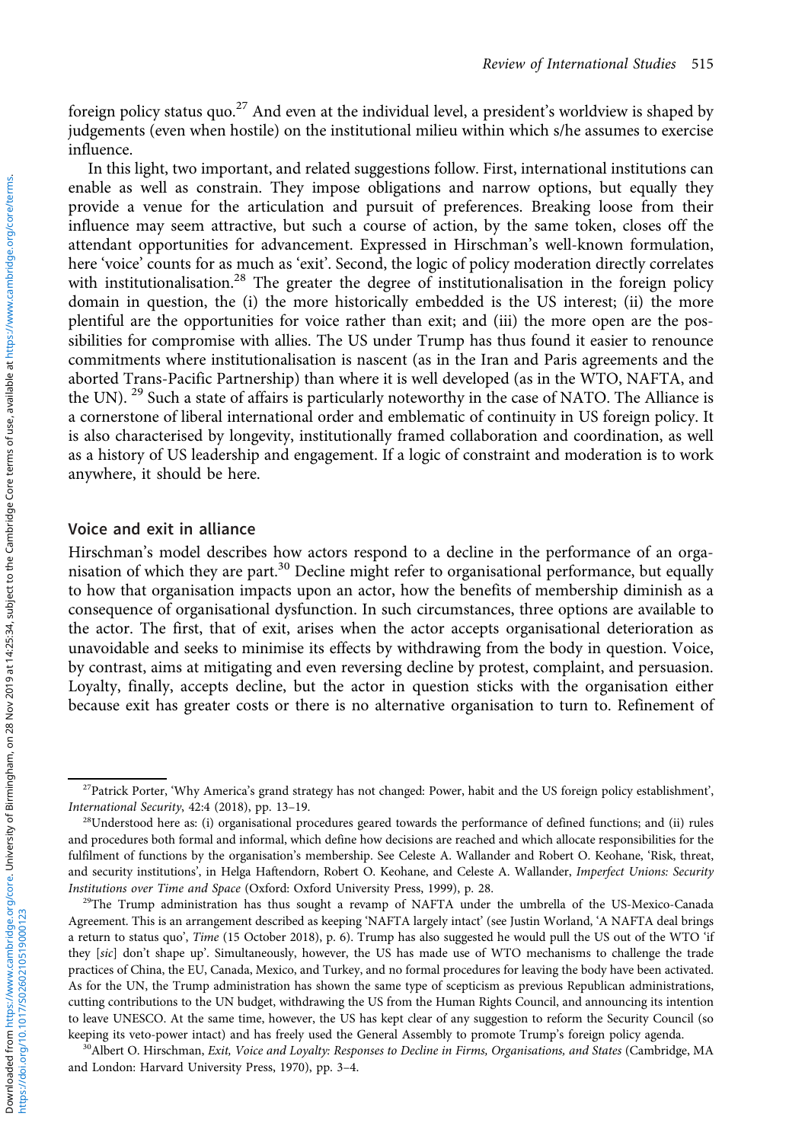foreign policy status quo.<sup>27</sup> And even at the individual level, a president's worldview is shaped by judgements (even when hostile) on the institutional milieu within which s/he assumes to exercise influence.

In this light, two important, and related suggestions follow. First, international institutions can enable as well as constrain. They impose obligations and narrow options, but equally they provide a venue for the articulation and pursuit of preferences. Breaking loose from their influence may seem attractive, but such a course of action, by the same token, closes off the attendant opportunities for advancement. Expressed in Hirschman's well-known formulation, here 'voice' counts for as much as 'exit'. Second, the logic of policy moderation directly correlates with institutionalisation.<sup>28</sup> The greater the degree of institutionalisation in the foreign policy domain in question, the (i) the more historically embedded is the US interest; (ii) the more plentiful are the opportunities for voice rather than exit; and (iii) the more open are the possibilities for compromise with allies. The US under Trump has thus found it easier to renounce commitments where institutionalisation is nascent (as in the Iran and Paris agreements and the aborted Trans-Pacific Partnership) than where it is well developed (as in the WTO, NAFTA, and the UN).<sup>29</sup> Such a state of affairs is particularly noteworthy in the case of NATO. The Alliance is a cornerstone of liberal international order and emblematic of continuity in US foreign policy. It is also characterised by longevity, institutionally framed collaboration and coordination, as well as a history of US leadership and engagement. If a logic of constraint and moderation is to work anywhere, it should be here.

#### Voice and exit in alliance

Hirschman's model describes how actors respond to a decline in the performance of an organisation of which they are part.<sup>30</sup> Decline might refer to organisational performance, but equally to how that organisation impacts upon an actor, how the benefits of membership diminish as a consequence of organisational dysfunction. In such circumstances, three options are available to the actor. The first, that of exit, arises when the actor accepts organisational deterioration as unavoidable and seeks to minimise its effects by withdrawing from the body in question. Voice, by contrast, aims at mitigating and even reversing decline by protest, complaint, and persuasion. Loyalty, finally, accepts decline, but the actor in question sticks with the organisation either because exit has greater costs or there is no alternative organisation to turn to. Refinement of

<sup>&</sup>lt;sup>27</sup>Patrick Porter, 'Why America's grand strategy has not changed: Power, habit and the US foreign policy establishment', International Security, 42:4 (2018), pp. 13–19.

 $28$ Understood here as: (i) organisational procedures geared towards the performance of defined functions; and (ii) rules and procedures both formal and informal, which define how decisions are reached and which allocate responsibilities for the fulfilment of functions by the organisation's membership. See Celeste A. Wallander and Robert O. Keohane, 'Risk, threat, and security institutions', in Helga Haftendorn, Robert O. Keohane, and Celeste A. Wallander, Imperfect Unions: Security Institutions over Time and Space (Oxford: Oxford University Press, 1999), p. 28.

<sup>&</sup>lt;sup>29</sup>The Trump administration has thus sought a revamp of NAFTA under the umbrella of the US-Mexico-Canada Agreement. This is an arrangement described as keeping 'NAFTA largely intact' (see Justin Worland, 'A NAFTA deal brings a return to status quo', Time (15 October 2018), p. 6). Trump has also suggested he would pull the US out of the WTO 'if they [sic] don't shape up'. Simultaneously, however, the US has made use of WTO mechanisms to challenge the trade practices of China, the EU, Canada, Mexico, and Turkey, and no formal procedures for leaving the body have been activated. As for the UN, the Trump administration has shown the same type of scepticism as previous Republican administrations, cutting contributions to the UN budget, withdrawing the US from the Human Rights Council, and announcing its intention to leave UNESCO. At the same time, however, the US has kept clear of any suggestion to reform the Security Council (so keeping its veto-power intact) and has freely used the General Assembly to promote Trump's foreign policy agenda.

<sup>&</sup>lt;sup>30</sup>Albert O. Hirschman, Exit, Voice and Loyalty: Responses to Decline in Firms, Organisations, and States (Cambridge, MA and London: Harvard University Press, 1970), pp. 3–4.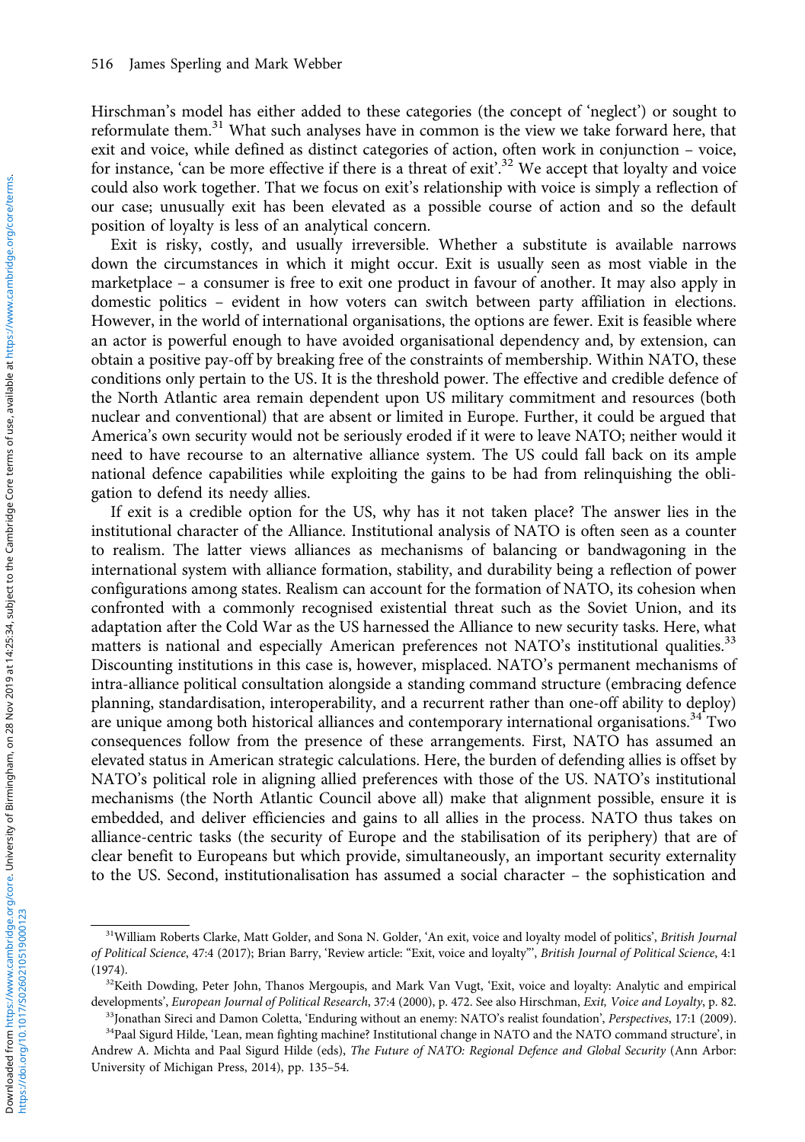Hirschman's model has either added to these categories (the concept of 'neglect') or sought to reformulate them.<sup>31</sup> What such analyses have in common is the view we take forward here, that exit and voice, while defined as distinct categories of action, often work in conjunction – voice, for instance, 'can be more effective if there is a threat of exit'.<sup>32</sup> We accept that loyalty and voice could also work together. That we focus on exit's relationship with voice is simply a reflection of our case; unusually exit has been elevated as a possible course of action and so the default position of loyalty is less of an analytical concern.

Exit is risky, costly, and usually irreversible. Whether a substitute is available narrows down the circumstances in which it might occur. Exit is usually seen as most viable in the marketplace – a consumer is free to exit one product in favour of another. It may also apply in domestic politics – evident in how voters can switch between party affiliation in elections. However, in the world of international organisations, the options are fewer. Exit is feasible where an actor is powerful enough to have avoided organisational dependency and, by extension, can obtain a positive pay-off by breaking free of the constraints of membership. Within NATO, these conditions only pertain to the US. It is the threshold power. The effective and credible defence of the North Atlantic area remain dependent upon US military commitment and resources (both nuclear and conventional) that are absent or limited in Europe. Further, it could be argued that America's own security would not be seriously eroded if it were to leave NATO; neither would it need to have recourse to an alternative alliance system. The US could fall back on its ample national defence capabilities while exploiting the gains to be had from relinquishing the obligation to defend its needy allies.

If exit is a credible option for the US, why has it not taken place? The answer lies in the institutional character of the Alliance. Institutional analysis of NATO is often seen as a counter to realism. The latter views alliances as mechanisms of balancing or bandwagoning in the international system with alliance formation, stability, and durability being a reflection of power configurations among states. Realism can account for the formation of NATO, its cohesion when confronted with a commonly recognised existential threat such as the Soviet Union, and its adaptation after the Cold War as the US harnessed the Alliance to new security tasks. Here, what matters is national and especially American preferences not NATO's institutional qualities.<sup>33</sup> Discounting institutions in this case is, however, misplaced. NATO's permanent mechanisms of intra-alliance political consultation alongside a standing command structure (embracing defence planning, standardisation, interoperability, and a recurrent rather than one-off ability to deploy) are unique among both historical alliances and contemporary international organisations.<sup>34</sup> Two consequences follow from the presence of these arrangements. First, NATO has assumed an elevated status in American strategic calculations. Here, the burden of defending allies is offset by NATO's political role in aligning allied preferences with those of the US. NATO's institutional mechanisms (the North Atlantic Council above all) make that alignment possible, ensure it is embedded, and deliver efficiencies and gains to all allies in the process. NATO thus takes on alliance-centric tasks (the security of Europe and the stabilisation of its periphery) that are of clear benefit to Europeans but which provide, simultaneously, an important security externality to the US. Second, institutionalisation has assumed a social character – the sophistication and

<sup>33</sup>Jonathan Sireci and Damon Coletta, 'Enduring without an enemy: NATO's realist foundation', Perspectives, 17:1 (2009). 34Paal Sigurd Hilde, 'Lean, mean fighting machine? Institutional change in NATO and the NATO command structure', in

<sup>&</sup>lt;sup>31</sup>William Roberts Clarke, Matt Golder, and Sona N. Golder, 'An exit, voice and loyalty model of politics', British Journal of Political Science, 47:4 (2017); Brian Barry, 'Review article: "Exit, voice and loyalty"', British Journal of Political Science, 4:1 (1974).

<sup>&</sup>lt;sup>32</sup>Keith Dowding, Peter John, Thanos Mergoupis, and Mark Van Vugt, 'Exit, voice and loyalty: Analytic and empirical developments', European Journal of Political Research, 37:4 (2000), p. 472. See also Hirschman, Exit, Voice and Loyalty, p. 82.

Andrew A. Michta and Paal Sigurd Hilde (eds), The Future of NATO: Regional Defence and Global Security (Ann Arbor: University of Michigan Press, 2014), pp. 135–54.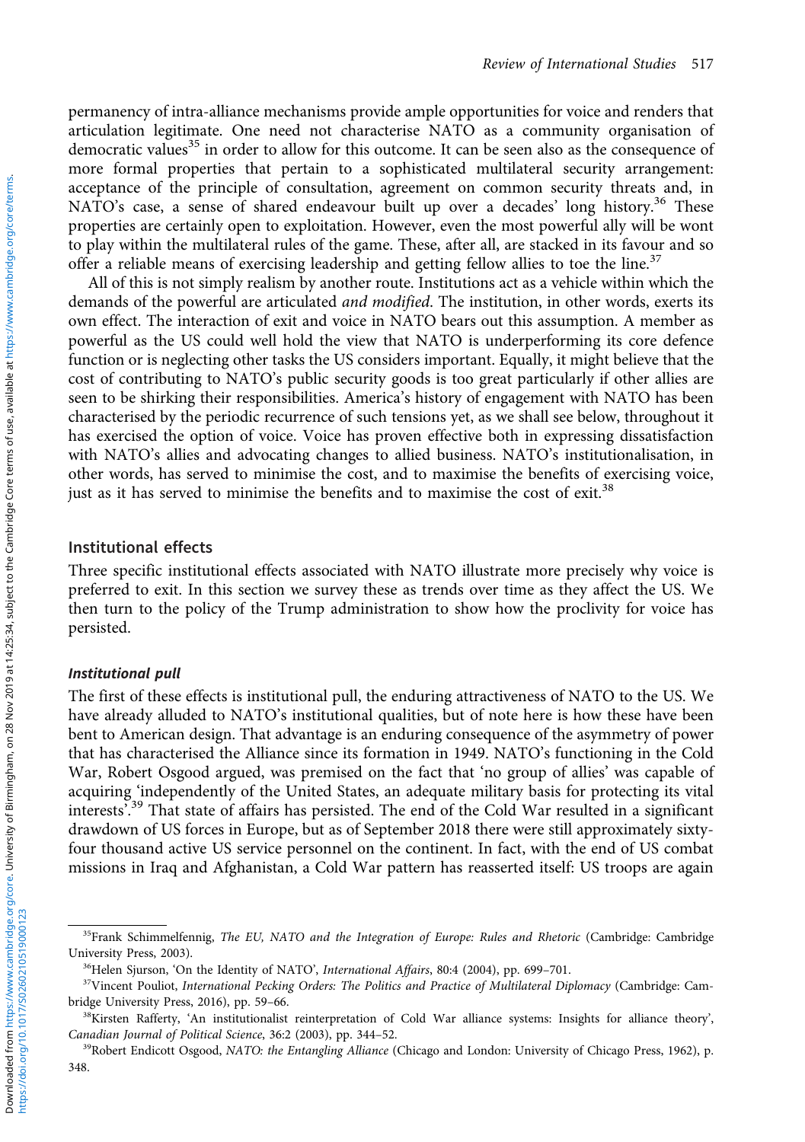permanency of intra-alliance mechanisms provide ample opportunities for voice and renders that articulation legitimate. One need not characterise NATO as a community organisation of democratic values<sup>35</sup> in order to allow for this outcome. It can be seen also as the consequence of more formal properties that pertain to a sophisticated multilateral security arrangement: acceptance of the principle of consultation, agreement on common security threats and, in NATO's case, a sense of shared endeavour built up over a decades' long history.<sup>36</sup> These properties are certainly open to exploitation. However, even the most powerful ally will be wont to play within the multilateral rules of the game. These, after all, are stacked in its favour and so offer a reliable means of exercising leadership and getting fellow allies to toe the line.<sup>37</sup>

All of this is not simply realism by another route. Institutions act as a vehicle within which the demands of the powerful are articulated and modified. The institution, in other words, exerts its own effect. The interaction of exit and voice in NATO bears out this assumption. A member as powerful as the US could well hold the view that NATO is underperforming its core defence function or is neglecting other tasks the US considers important. Equally, it might believe that the cost of contributing to NATO's public security goods is too great particularly if other allies are seen to be shirking their responsibilities. America's history of engagement with NATO has been characterised by the periodic recurrence of such tensions yet, as we shall see below, throughout it has exercised the option of voice. Voice has proven effective both in expressing dissatisfaction with NATO's allies and advocating changes to allied business. NATO's institutionalisation, in other words, has served to minimise the cost, and to maximise the benefits of exercising voice, just as it has served to minimise the benefits and to maximise the cost of exit.<sup>38</sup>

#### Institutional effects

Three specific institutional effects associated with NATO illustrate more precisely why voice is preferred to exit. In this section we survey these as trends over time as they affect the US. We then turn to the policy of the Trump administration to show how the proclivity for voice has persisted.

#### Institutional pull

The first of these effects is institutional pull, the enduring attractiveness of NATO to the US. We have already alluded to NATO's institutional qualities, but of note here is how these have been bent to American design. That advantage is an enduring consequence of the asymmetry of power that has characterised the Alliance since its formation in 1949. NATO's functioning in the Cold War, Robert Osgood argued, was premised on the fact that 'no group of allies' was capable of acquiring 'independently of the United States, an adequate military basis for protecting its vital interests'. <sup>39</sup> That state of affairs has persisted. The end of the Cold War resulted in a significant drawdown of US forces in Europe, but as of September 2018 there were still approximately sixtyfour thousand active US service personnel on the continent. In fact, with the end of US combat missions in Iraq and Afghanistan, a Cold War pattern has reasserted itself: US troops are again

<sup>&</sup>lt;sup>35</sup>Frank Schimmelfennig, The EU, NATO and the Integration of Europe: Rules and Rhetoric (Cambridge: Cambridge University Press, 2003).

<sup>&</sup>lt;sup>36</sup>Helen Sjurson, 'On the Identity of NATO', International Affairs, 80:4 (2004), pp. 699-701.

<sup>&</sup>lt;sup>37</sup>Vincent Pouliot, International Pecking Orders: The Politics and Practice of Multilateral Diplomacy (Cambridge: Cambridge University Press, 2016), pp. 59–66.

<sup>&</sup>lt;sup>38</sup>Kirsten Rafferty, 'An institutionalist reinterpretation of Cold War alliance systems: Insights for alliance theory', Canadian Journal of Political Science, 36:2 (2003), pp. 344–52.

<sup>&</sup>lt;sup>39</sup>Robert Endicott Osgood, NATO: the Entangling Alliance (Chicago and London: University of Chicago Press, 1962), p. 348.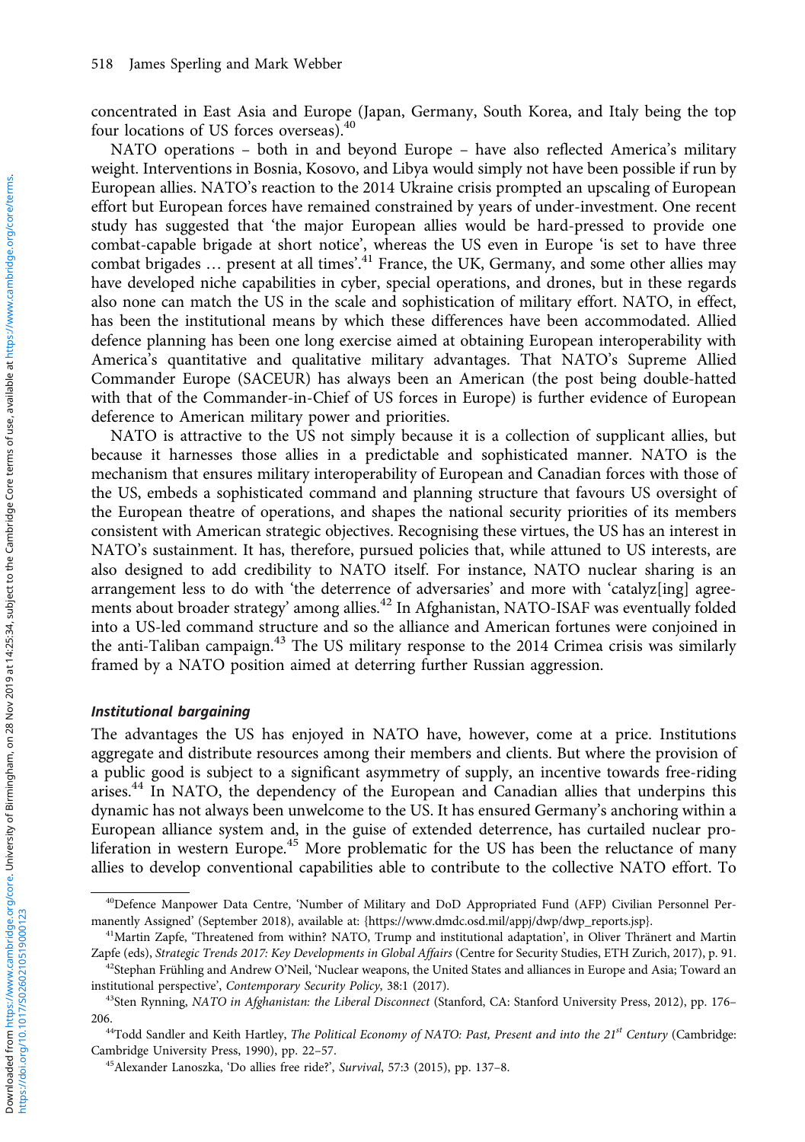concentrated in East Asia and Europe (Japan, Germany, South Korea, and Italy being the top four locations of US forces overseas).<sup>40</sup>

NATO operations – both in and beyond Europe – have also reflected America's military weight. Interventions in Bosnia, Kosovo, and Libya would simply not have been possible if run by European allies. NATO's reaction to the 2014 Ukraine crisis prompted an upscaling of European effort but European forces have remained constrained by years of under-investment. One recent study has suggested that 'the major European allies would be hard-pressed to provide one combat-capable brigade at short notice', whereas the US even in Europe 'is set to have three combat brigades ... present at all times'.<sup>41</sup> France, the UK, Germany, and some other allies may have developed niche capabilities in cyber, special operations, and drones, but in these regards also none can match the US in the scale and sophistication of military effort. NATO, in effect, has been the institutional means by which these differences have been accommodated. Allied defence planning has been one long exercise aimed at obtaining European interoperability with America's quantitative and qualitative military advantages. That NATO's Supreme Allied Commander Europe (SACEUR) has always been an American (the post being double-hatted with that of the Commander-in-Chief of US forces in Europe) is further evidence of European deference to American military power and priorities.

NATO is attractive to the US not simply because it is a collection of supplicant allies, but because it harnesses those allies in a predictable and sophisticated manner. NATO is the mechanism that ensures military interoperability of European and Canadian forces with those of the US, embeds a sophisticated command and planning structure that favours US oversight of the European theatre of operations, and shapes the national security priorities of its members consistent with American strategic objectives. Recognising these virtues, the US has an interest in NATO's sustainment. It has, therefore, pursued policies that, while attuned to US interests, are also designed to add credibility to NATO itself. For instance, NATO nuclear sharing is an arrangement less to do with 'the deterrence of adversaries' and more with 'catalyz[ing] agreements about broader strategy' among allies.<sup>42</sup> In Afghanistan, NATO-ISAF was eventually folded into a US-led command structure and so the alliance and American fortunes were conjoined in the anti-Taliban campaign.<sup>43</sup> The US military response to the 2014 Crimea crisis was similarly framed by a NATO position aimed at deterring further Russian aggression.

#### Institutional bargaining

The advantages the US has enjoyed in NATO have, however, come at a price. Institutions aggregate and distribute resources among their members and clients. But where the provision of a public good is subject to a significant asymmetry of supply, an incentive towards free-riding arises.<sup>44</sup> In NATO, the dependency of the European and Canadian allies that underpins this dynamic has not always been unwelcome to the US. It has ensured Germany's anchoring within a European alliance system and, in the guise of extended deterrence, has curtailed nuclear proliferation in western Europe.<sup>45</sup> More problematic for the US has been the reluctance of many allies to develop conventional capabilities able to contribute to the collective NATO effort. To

<sup>40</sup>Defence Manpower Data Centre, 'Number of Military and DoD Appropriated Fund (AFP) Civilian Personnel Permanently Assigned' (September 2018), available at: {[https://www.dmdc.osd.mil/appj/dwp/dwp\\_reports.jsp}](https://www.dmdc.osd.mil/appj/dwp/dwp_reports.jsp).

<sup>&</sup>lt;sup>41</sup>Martin Zapfe, 'Threatened from within? NATO, Trump and institutional adaptation', in Oliver Thränert and Martin Zapfe (eds), Strategic Trends 2017: Key Developments in Global Affairs (Centre for Security Studies, ETH Zurich, 2017), p. 91.

<sup>&</sup>lt;sup>42</sup>Stephan Frühling and Andrew O'Neil, 'Nuclear weapons, the United States and alliances in Europe and Asia; Toward an institutional perspective', Contemporary Security Policy, 38:1 (2017).

<sup>43</sup>Sten Rynning, NATO in Afghanistan: the Liberal Disconnect (Stanford, CA: Stanford University Press, 2012), pp. 176-206.

 $44T$ odd Sandler and Keith Hartley, The Political Economy of NATO: Past, Present and into the 21st Century (Cambridge: Cambridge University Press, 1990), pp. 22–57.

<sup>45</sup>Alexander Lanoszka, 'Do allies free ride?', Survival, 57:3 (2015), pp. 137–8.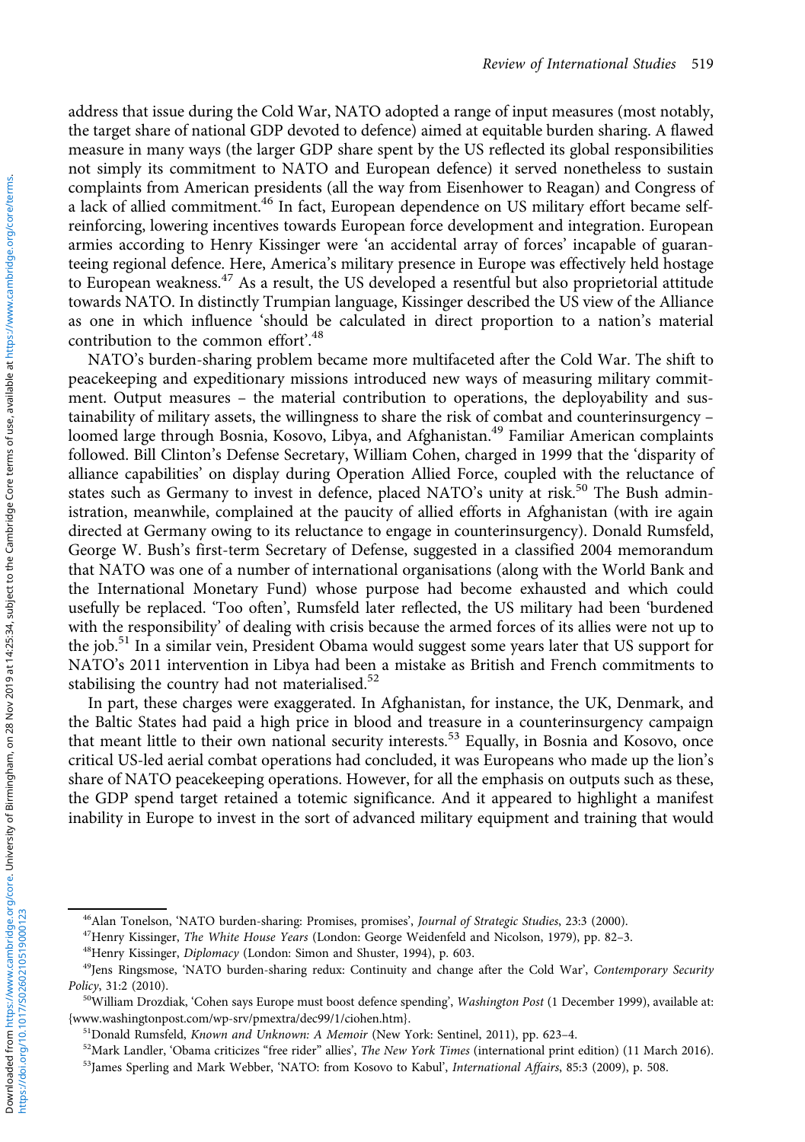address that issue during the Cold War, NATO adopted a range of input measures (most notably, the target share of national GDP devoted to defence) aimed at equitable burden sharing. A flawed measure in many ways (the larger GDP share spent by the US reflected its global responsibilities not simply its commitment to NATO and European defence) it served nonetheless to sustain complaints from American presidents (all the way from Eisenhower to Reagan) and Congress of a lack of allied commitment.<sup>46</sup> In fact, European dependence on US military effort became selfreinforcing, lowering incentives towards European force development and integration. European armies according to Henry Kissinger were 'an accidental array of forces' incapable of guaranteeing regional defence. Here, America's military presence in Europe was effectively held hostage to European weakness.<sup>47</sup> As a result, the US developed a resentful but also proprietorial attitude towards NATO. In distinctly Trumpian language, Kissinger described the US view of the Alliance as one in which influence 'should be calculated in direct proportion to a nation's material contribution to the common effort'.<sup>48</sup>

NATO's burden-sharing problem became more multifaceted after the Cold War. The shift to peacekeeping and expeditionary missions introduced new ways of measuring military commitment. Output measures – the material contribution to operations, the deployability and sustainability of military assets, the willingness to share the risk of combat and counterinsurgency – loomed large through Bosnia, Kosovo, Libya, and Afghanistan.<sup>49</sup> Familiar American complaints followed. Bill Clinton's Defense Secretary, William Cohen, charged in 1999 that the 'disparity of alliance capabilities' on display during Operation Allied Force, coupled with the reluctance of states such as Germany to invest in defence, placed NATO's unity at risk.<sup>50</sup> The Bush administration, meanwhile, complained at the paucity of allied efforts in Afghanistan (with ire again directed at Germany owing to its reluctance to engage in counterinsurgency). Donald Rumsfeld, George W. Bush's first-term Secretary of Defense, suggested in a classified 2004 memorandum that NATO was one of a number of international organisations (along with the World Bank and the International Monetary Fund) whose purpose had become exhausted and which could usefully be replaced. 'Too often', Rumsfeld later reflected, the US military had been 'burdened with the responsibility' of dealing with crisis because the armed forces of its allies were not up to the job.<sup>51</sup> In a similar vein, President Obama would suggest some years later that US support for NATO's 2011 intervention in Libya had been a mistake as British and French commitments to stabilising the country had not materialised.<sup>52</sup>

In part, these charges were exaggerated. In Afghanistan, for instance, the UK, Denmark, and the Baltic States had paid a high price in blood and treasure in a counterinsurgency campaign that meant little to their own national security interests.<sup>53</sup> Equally, in Bosnia and Kosovo, once critical US-led aerial combat operations had concluded, it was Europeans who made up the lion's share of NATO peacekeeping operations. However, for all the emphasis on outputs such as these, the GDP spend target retained a totemic significance. And it appeared to highlight a manifest inability in Europe to invest in the sort of advanced military equipment and training that would

<sup>&</sup>lt;sup>46</sup>Alan Tonelson, 'NATO burden-sharing: Promises, promises', Journal of Strategic Studies, 23:3 (2000).

 $47$ Henry Kissinger, The White House Years (London: George Weidenfeld and Nicolson, 1979), pp. 82-3.

<sup>48</sup>Henry Kissinger, Diplomacy (London: Simon and Shuster, 1994), p. 603.

<sup>&</sup>lt;sup>49</sup>Jens Ringsmose, 'NATO burden-sharing redux: Continuity and change after the Cold War', Contemporary Security Policy, 31:2 (2010).

<sup>&</sup>lt;sup>50</sup>William Drozdiak, 'Cohen says Europe must boost defence spending', Washington Post (1 December 1999), available at: {[www.washingtonpost.com/wp-srv/pmextra/dec99/1/ciohen.htm](www.washingtonpost.com/wp-srv/pmextra/dec99�/�1/ciohen.htm)}.

<sup>51</sup>Donald Rumsfeld, Known and Unknown: A Memoir (New York: Sentinel, 2011), pp. 623–4.

 $52$ Mark Landler, 'Obama criticizes "free rider" allies', The New York Times (international print edition) (11 March 2016).

<sup>&</sup>lt;sup>53</sup>James Sperling and Mark Webber, 'NATO: from Kosovo to Kabul', International Affairs, 85:3 (2009), p. 508.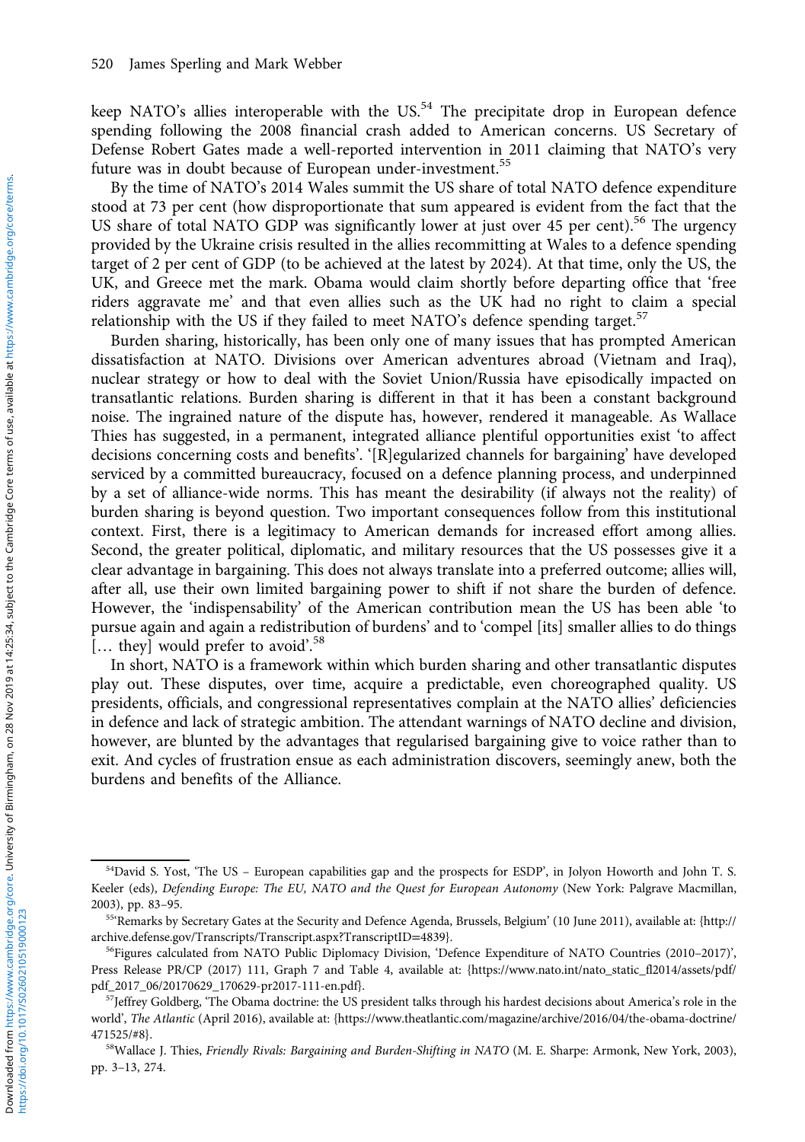keep NATO's allies interoperable with the  $US<sup>54</sup>$  The precipitate drop in European defence spending following the 2008 financial crash added to American concerns. US Secretary of Defense Robert Gates made a well-reported intervention in 2011 claiming that NATO's very future was in doubt because of European under-investment.<sup>55</sup>

By the time of NATO's 2014 Wales summit the US share of total NATO defence expenditure stood at 73 per cent (how disproportionate that sum appeared is evident from the fact that the US share of total NATO GDP was significantly lower at just over 45 per cent).<sup>56</sup> The urgency provided by the Ukraine crisis resulted in the allies recommitting at Wales to a defence spending target of 2 per cent of GDP (to be achieved at the latest by 2024). At that time, only the US, the UK, and Greece met the mark. Obama would claim shortly before departing office that 'free riders aggravate me' and that even allies such as the UK had no right to claim a special relationship with the US if they failed to meet NATO's defence spending target.<sup>57</sup>

Burden sharing, historically, has been only one of many issues that has prompted American dissatisfaction at NATO. Divisions over American adventures abroad (Vietnam and Iraq), nuclear strategy or how to deal with the Soviet Union/Russia have episodically impacted on transatlantic relations. Burden sharing is different in that it has been a constant background noise. The ingrained nature of the dispute has, however, rendered it manageable. As Wallace Thies has suggested, in a permanent, integrated alliance plentiful opportunities exist 'to affect decisions concerning costs and benefits'. '[R]egularized channels for bargaining' have developed serviced by a committed bureaucracy, focused on a defence planning process, and underpinned by a set of alliance-wide norms. This has meant the desirability (if always not the reality) of burden sharing is beyond question. Two important consequences follow from this institutional context. First, there is a legitimacy to American demands for increased effort among allies. Second, the greater political, diplomatic, and military resources that the US possesses give it a clear advantage in bargaining. This does not always translate into a preferred outcome; allies will, after all, use their own limited bargaining power to shift if not share the burden of defence. However, the 'indispensability' of the American contribution mean the US has been able 'to pursue again and again a redistribution of burdens' and to 'compel [its] smaller allies to do things [... they] would prefer to avoid'.<sup>58</sup>

In short, NATO is a framework within which burden sharing and other transatlantic disputes play out. These disputes, over time, acquire a predictable, even choreographed quality. US presidents, officials, and congressional representatives complain at the NATO allies' deficiencies in defence and lack of strategic ambition. The attendant warnings of NATO decline and division, however, are blunted by the advantages that regularised bargaining give to voice rather than to exit. And cycles of frustration ensue as each administration discovers, seemingly anew, both the burdens and benefits of the Alliance.

<sup>54</sup>David S. Yost, 'The US – European capabilities gap and the prospects for ESDP', in Jolyon Howorth and John T. S. Keeler (eds), Defending Europe: The EU, NATO and the Quest for European Autonomy (New York: Palgrave Macmillan, 2003), pp. 83–95.

<sup>55</sup>'Remarks by Secretary Gates at the Security and Defence Agenda, Brussels, Belgium' (10 June 2011), available at: [{http://](http://archive.defense.gov/Transcripts/Transcript.aspx?TranscriptID=4839) [archive.defense.gov/Transcripts/Transcript.aspx?TranscriptID](http://archive.defense.gov/Transcripts/Transcript.aspx?TranscriptID=4839)=4839}.

<sup>&</sup>lt;sup>56</sup>Figures calculated from NATO Public Diplomacy Division, 'Defence Expenditure of NATO Countries (2010-2017)', Press Release PR/CP (2017) 111, Graph 7 and Table 4, available at: {[https://www.nato.int/nato\\_static\\_fl2014/assets/pdf/](https://www.nato.int/nato_static_fl2014/assets/pdf/pdf_2017_06�/�20170629_170629-pr2017-111-en.pdf) [pdf\\_2017\\_06/20170629\\_170629-pr2017-111-en.pdf](https://www.nato.int/nato_static_fl2014/assets/pdf/pdf_2017_06�/�20170629_170629-pr2017-111-en.pdf)}.

<sup>&</sup>lt;sup>57</sup>Jeffrey Goldberg, 'The Obama doctrine: the US president talks through his hardest decisions about America's role in the world', The Atlantic (April 2016), available at: [{https://www.theatlantic.com/magazine/archive/2016/04/the-obama-doctrine/](https://www.theatlantic.�com/magazine/archive/2016�/�04/the-obama-doctrine/471525/#8) [471525/#8}](https://www.theatlantic.�com/magazine/archive/2016�/�04/the-obama-doctrine/471525/#8).

<sup>&</sup>lt;sup>58</sup>Wallace J. Thies, Friendly Rivals: Bargaining and Burden-Shifting in NATO (M. E. Sharpe: Armonk, New York, 2003), pp. 3–13, 274.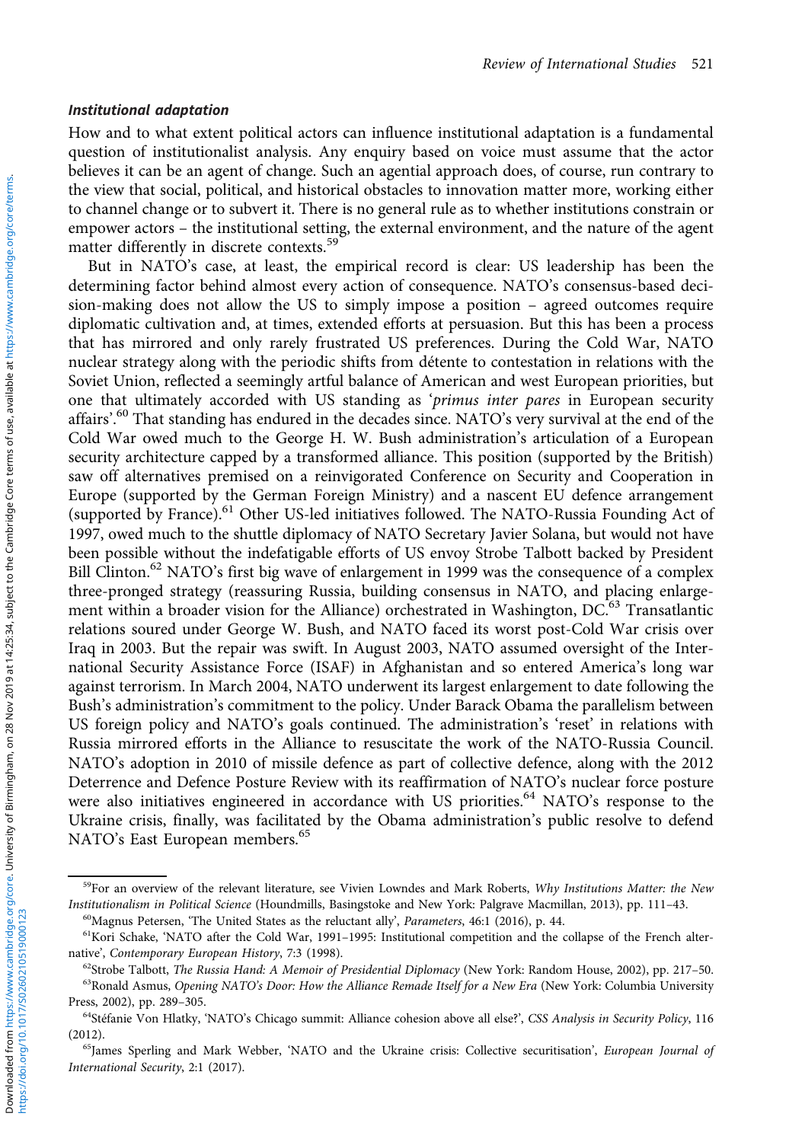#### Institutional adaptation

How and to what extent political actors can influence institutional adaptation is a fundamental question of institutionalist analysis. Any enquiry based on voice must assume that the actor believes it can be an agent of change. Such an agential approach does, of course, run contrary to the view that social, political, and historical obstacles to innovation matter more, working either to channel change or to subvert it. There is no general rule as to whether institutions constrain or empower actors – the institutional setting, the external environment, and the nature of the agent matter differently in discrete contexts.<sup>59</sup>

But in NATO's case, at least, the empirical record is clear: US leadership has been the determining factor behind almost every action of consequence. NATO's consensus-based decision-making does not allow the US to simply impose a position – agreed outcomes require diplomatic cultivation and, at times, extended efforts at persuasion. But this has been a process that has mirrored and only rarely frustrated US preferences. During the Cold War, NATO nuclear strategy along with the periodic shifts from détente to contestation in relations with the Soviet Union, reflected a seemingly artful balance of American and west European priorities, but one that ultimately accorded with US standing as 'primus inter pares in European security affairs'. <sup>60</sup> That standing has endured in the decades since. NATO's very survival at the end of the Cold War owed much to the George H. W. Bush administration's articulation of a European security architecture capped by a transformed alliance. This position (supported by the British) saw off alternatives premised on a reinvigorated Conference on Security and Cooperation in Europe (supported by the German Foreign Ministry) and a nascent EU defence arrangement (supported by France).<sup>61</sup> Other US-led initiatives followed. The NATO-Russia Founding Act of 1997, owed much to the shuttle diplomacy of NATO Secretary Javier Solana, but would not have been possible without the indefatigable efforts of US envoy Strobe Talbott backed by President Bill Clinton.<sup>62</sup> NATO's first big wave of enlargement in 1999 was the consequence of a complex three-pronged strategy (reassuring Russia, building consensus in NATO, and placing enlargement within a broader vision for the Alliance) orchestrated in Washington, DC.<sup>63</sup> Transatlantic relations soured under George W. Bush, and NATO faced its worst post-Cold War crisis over Iraq in 2003. But the repair was swift. In August 2003, NATO assumed oversight of the International Security Assistance Force (ISAF) in Afghanistan and so entered America's long war against terrorism. In March 2004, NATO underwent its largest enlargement to date following the Bush's administration's commitment to the policy. Under Barack Obama the parallelism between US foreign policy and NATO's goals continued. The administration's 'reset' in relations with Russia mirrored efforts in the Alliance to resuscitate the work of the NATO-Russia Council. NATO's adoption in 2010 of missile defence as part of collective defence, along with the 2012 Deterrence and Defence Posture Review with its reaffirmation of NATO's nuclear force posture were also initiatives engineered in accordance with US priorities.<sup>64</sup> NATO's response to the Ukraine crisis, finally, was facilitated by the Obama administration's public resolve to defend NATO's East European members.<sup>65</sup>

<sup>&</sup>lt;sup>59</sup>For an overview of the relevant literature, see Vivien Lowndes and Mark Roberts, Why Institutions Matter: the New Institutionalism in Political Science (Houndmills, Basingstoke and New York: Palgrave Macmillan, 2013), pp. 111–43.

<sup>60</sup>Magnus Petersen, 'The United States as the reluctant ally', Parameters, 46:1 (2016), p. 44. <sup>61</sup>Kori Schake, 'NATO after the Cold War, 1991-1995: Institutional competition and the collapse of the French alternative', Contemporary European History, 7:3 (1998).

 $62$ Strobe Talbott, The Russia Hand: A Memoir of Presidential Diplomacy (New York: Random House, 2002), pp. 217–50.

<sup>&</sup>lt;sup>63</sup>Ronald Asmus, Opening NATO's Door: How the Alliance Remade Itself for a New Era (New York: Columbia University Press, 2002), pp. 289–305.

<sup>&</sup>lt;sup>64</sup>Stéfanie Von Hlatky, 'NATO's Chicago summit: Alliance cohesion above all else?', CSS Analysis in Security Policy, 116  $(2012)$ 

<sup>&</sup>lt;sup>65</sup>James Sperling and Mark Webber, 'NATO and the Ukraine crisis: Collective securitisation', European Journal of International Security, 2:1 (2017).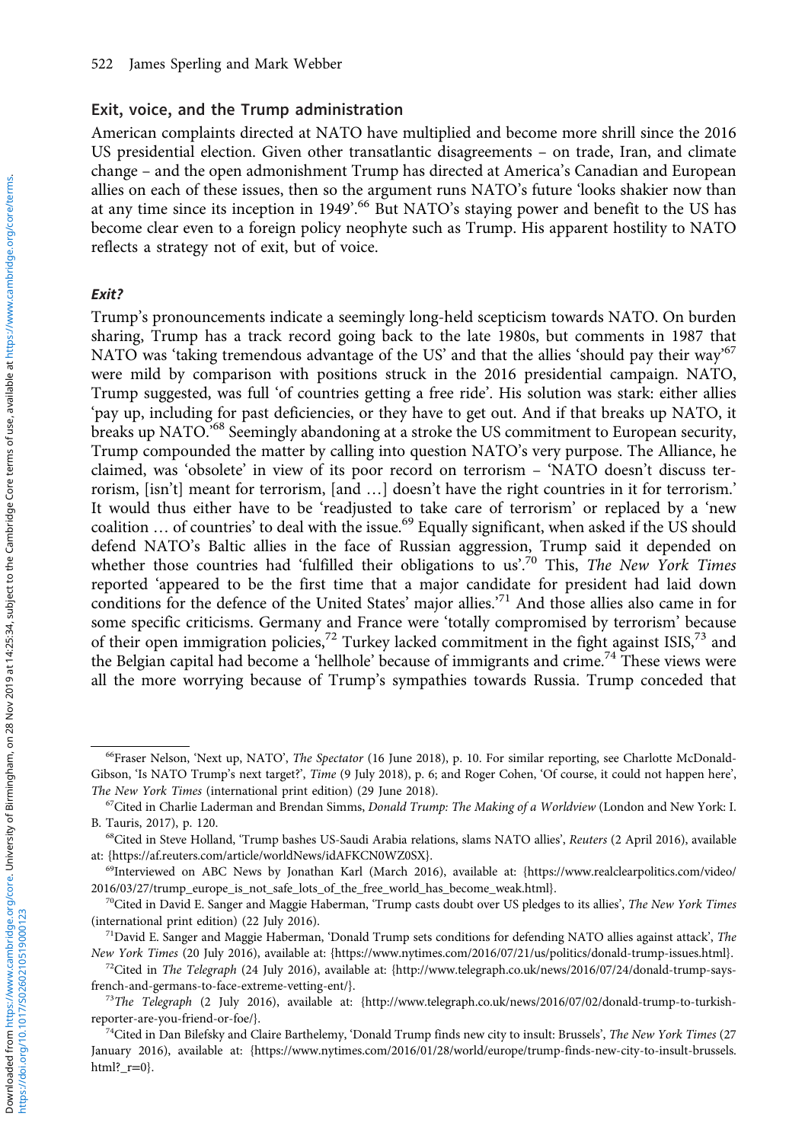#### Exit, voice, and the Trump administration

American complaints directed at NATO have multiplied and become more shrill since the 2016 US presidential election. Given other transatlantic disagreements – on trade, Iran, and climate change – and the open admonishment Trump has directed at America's Canadian and European allies on each of these issues, then so the argument runs NATO's future 'looks shakier now than at any time since its inception in 1949'.<sup>66</sup> But NATO's staying power and benefit to the US has become clear even to a foreign policy neophyte such as Trump. His apparent hostility to NATO reflects a strategy not of exit, but of voice.

#### Exit?

Trump's pronouncements indicate a seemingly long-held scepticism towards NATO. On burden sharing, Trump has a track record going back to the late 1980s, but comments in 1987 that NATO was 'taking tremendous advantage of the US' and that the allies 'should pay their way'<sup>67</sup> were mild by comparison with positions struck in the 2016 presidential campaign. NATO, Trump suggested, was full 'of countries getting a free ride'. His solution was stark: either allies 'pay up, including for past deficiencies, or they have to get out. And if that breaks up NATO, it breaks up NATO.<sup>568</sup> Seemingly abandoning at a stroke the US commitment to European security, Trump compounded the matter by calling into question NATO's very purpose. The Alliance, he claimed, was 'obsolete' in view of its poor record on terrorism – 'NATO doesn't discuss terrorism, [isn't] meant for terrorism, [and …] doesn't have the right countries in it for terrorism.' It would thus either have to be 'readjusted to take care of terrorism' or replaced by a 'new coalition ... of countries' to deal with the issue.<sup>69</sup> Equally significant, when asked if the US should defend NATO's Baltic allies in the face of Russian aggression, Trump said it depended on whether those countries had 'fulfilled their obligations to us'.<sup>70</sup> This, The New York Times reported 'appeared to be the first time that a major candidate for president had laid down conditions for the defence of the United States' major allies.<sup>71</sup> And those allies also came in for some specific criticisms. Germany and France were 'totally compromised by terrorism' because of their open immigration policies,<sup>72</sup> Turkey lacked commitment in the fight against ISIS,<sup>73</sup> and the Belgian capital had become a 'hellhole' because of immigrants and crime.<sup>74</sup> These views were all the more worrying because of Trump's sympathies towards Russia. Trump conceded that

https://doi.org/10.1017/S0260210519000123

<sup>66</sup>Fraser Nelson, 'Next up, NATO', The Spectator (16 June 2018), p. 10. For similar reporting, see Charlotte McDonald-Gibson, 'Is NATO Trump's next target?', Time (9 July 2018), p. 6; and Roger Cohen, 'Of course, it could not happen here', The New York Times (international print edition) (29 June 2018).

 $67$ Cited in Charlie Laderman and Brendan Simms, *Donald Trump: The Making of a Worldview* (London and New York: I. B. Tauris, 2017), p. 120.

<sup>68</sup>Cited in Steve Holland, 'Trump bashes US-Saudi Arabia relations, slams NATO allies', Reuters (2 April 2016), available at: {[https://af.reuters.com/article/worldNews/idAFKCN0WZ0SX}](https://af.reuters.com/article/worldNews/idAFKCN0WZ0SX).

<sup>69</sup>Interviewed on ABC News by Jonathan Karl (March 2016), available at: [{https://www.realclearpolitics.com/video/](https://www.realclearpolitics.com/video/2016�/�03/27/trump_europe_is_not_safe_lots_of_the_free_world_has_become_weak.html) [2016/03/27/trump\\_europe\\_is\\_not\\_safe\\_lots\\_of\\_the\\_free\\_world\\_has\\_become\\_weak.html}](https://www.realclearpolitics.com/video/2016�/�03/27/trump_europe_is_not_safe_lots_of_the_free_world_has_become_weak.html).

<sup>&</sup>lt;sup>70</sup>Cited in David E. Sanger and Maggie Haberman, 'Trump casts doubt over US pledges to its allies', The New York Times (international print edition) (22 July 2016).

<sup>&</sup>lt;sup>71</sup>David E. Sanger and Maggie Haberman, 'Donald Trump sets conditions for defending NATO allies against attack', The New York Times (20 July 2016), available at: [{https://www.nytimes.com/2016/07/21/us/politics/donald-trump-issues.html](https://www.nytimes.com/2016�/�07/21/us/politics/donald-trump-issues.html)}.

 $72$ Cited in The Telegraph (24 July 2016), available at: {[http://www.telegraph.co.uk/news/2016/07/24/donald-trump-says](http://www.telegraph.co.uk/news/2016�/�07/24/donald-trump-says-french-and-germans-to-face-extreme-vetting-ent/)[french-and-germans-to-face-extreme-vetting-ent/](http://www.telegraph.co.uk/news/2016�/�07/24/donald-trump-says-french-and-germans-to-face-extreme-vetting-ent/)}.

<sup>&</sup>lt;sup>73</sup>The Telegraph (2 July 2016), available at: {[http://www.telegraph.co.uk/news/2016/07/02/donald-trump-to-turkish](http://www.telegraph.co.uk/news/2016�/�07/02/donald-trump-to-turkish-reporter-are-you-friend-or-foe/)[reporter-are-you-friend-or-foe/](http://www.telegraph.co.uk/news/2016�/�07/02/donald-trump-to-turkish-reporter-are-you-friend-or-foe/)}.

<sup>&</sup>lt;sup>74</sup>Cited in Dan Bilefsky and Claire Barthelemy, 'Donald Trump finds new city to insult: Brussels', The New York Times (27 January 2016), available at: {[https://www.nytimes.com/2016/01/28/world/europe/trump-finds-new-city-to-insult-brussels.](https://www.nytimes.com/2016�/�01/28/world/europe/trump-finds-new-city-to-insult-brussels.html?_r=0) html?  $r=0$ .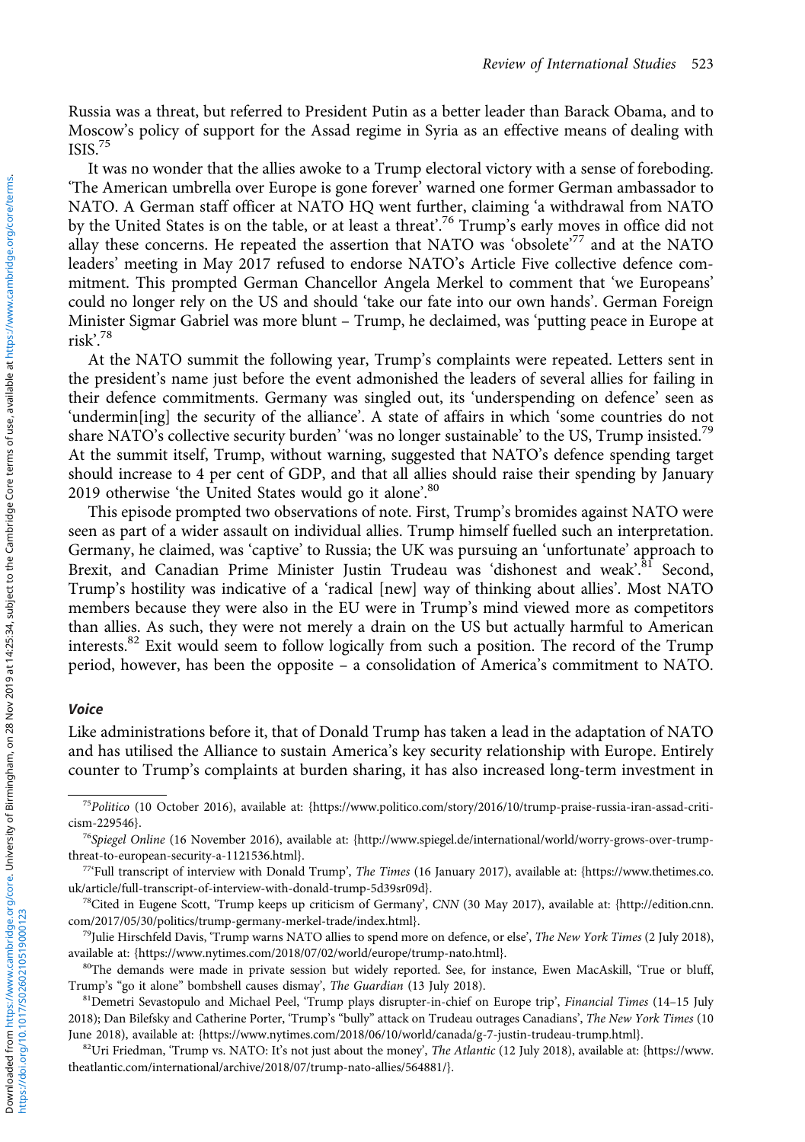Russia was a threat, but referred to President Putin as a better leader than Barack Obama, and to Moscow's policy of support for the Assad regime in Syria as an effective means of dealing with ISIS.75

It was no wonder that the allies awoke to a Trump electoral victory with a sense of foreboding. 'The American umbrella over Europe is gone forever' warned one former German ambassador to NATO. A German staff officer at NATO HQ went further, claiming 'a withdrawal from NATO by the United States is on the table, or at least a threat'. <sup>76</sup> Trump's early moves in office did not allay these concerns. He repeated the assertion that NATO was 'obsolete'<sup>77</sup> and at the NATO leaders' meeting in May 2017 refused to endorse NATO's Article Five collective defence commitment. This prompted German Chancellor Angela Merkel to comment that 'we Europeans' could no longer rely on the US and should 'take our fate into our own hands'. German Foreign Minister Sigmar Gabriel was more blunt – Trump, he declaimed, was 'putting peace in Europe at risk'. 78

At the NATO summit the following year, Trump's complaints were repeated. Letters sent in the president's name just before the event admonished the leaders of several allies for failing in their defence commitments. Germany was singled out, its 'underspending on defence' seen as 'undermin[ing] the security of the alliance'. A state of affairs in which 'some countries do not share NATO's collective security burden' 'was no longer sustainable' to the US, Trump insisted.<sup>79</sup> At the summit itself, Trump, without warning, suggested that NATO's defence spending target should increase to 4 per cent of GDP, and that all allies should raise their spending by January 2019 otherwise 'the United States would go it alone'.<sup>80</sup>

This episode prompted two observations of note. First, Trump's bromides against NATO were seen as part of a wider assault on individual allies. Trump himself fuelled such an interpretation. Germany, he claimed, was 'captive' to Russia; the UK was pursuing an 'unfortunate' approach to Brexit, and Canadian Prime Minister Justin Trudeau was 'dishonest and weak'.<sup>81</sup> Second, Trump's hostility was indicative of a 'radical [new] way of thinking about allies'. Most NATO members because they were also in the EU were in Trump's mind viewed more as competitors than allies. As such, they were not merely a drain on the US but actually harmful to American interests.<sup>82</sup> Exit would seem to follow logically from such a position. The record of the Trump period, however, has been the opposite – a consolidation of America's commitment to NATO.

#### Voice

Like administrations before it, that of Donald Trump has taken a lead in the adaptation of NATO and has utilised the Alliance to sustain America's key security relationship with Europe. Entirely counter to Trump's complaints at burden sharing, it has also increased long-term investment in

<sup>75</sup>Politico (10 October 2016), available at: {[https://www.politico.com/story/2016/10/trump-praise-russia-iran-assad-criti](https://www.politico.com/story/2016�/�10/trump-praise-russia-iran-assad-criticism-229546)[cism-229546](https://www.politico.com/story/2016�/�10/trump-praise-russia-iran-assad-criticism-229546)}.

<sup>&</sup>lt;sup>76</sup>Spiegel Online (16 November 2016), available at: [{http://www.spiegel.de/international/world/worry-grows-over-trump](http://www.spiegel.de/international/world/worry-grows-over-trump-threat-to-european-security-a-1121536.html)[threat-to-european-security-a-1121536.html](http://www.spiegel.de/international/world/worry-grows-over-trump-threat-to-european-security-a-1121536.html)}.

<sup>77</sup>'Full transcript of interview with Donald Trump', The Times (16 January 2017), available at: {[https://www.thetimes.co.](https://www.thetimes.co.uk/article/full-transcript-of-interview-with-donald-trump-5d39sr09d) [uk/article/full-transcript-of-interview-with-donald-trump-5d39sr09d](https://www.thetimes.co.uk/article/full-transcript-of-interview-with-donald-trump-5d39sr09d)}.

<sup>78</sup>Cited in Eugene Scott, 'Trump keeps up criticism of Germany', CNN (30 May 2017), available at: {[http://edition.cnn.](http://edition.cnn.com/2017�/�05/30/politics/trump-germany-merkel-trade/index.html) [com/2017/05/30/politics/trump-germany-merkel-trade/index.html}](http://edition.cnn.com/2017�/�05/30/politics/trump-germany-merkel-trade/index.html).

<sup>&</sup>lt;sup>79</sup>Julie Hirschfeld Davis, 'Trump warns NATO allies to spend more on defence, or else', The New York Times (2 July 2018), available at: {[https://www.nytimes.com/2018/07/02/world/europe/trump-nato.html](https://www.nytimes.com/2018�/�07/02/world/europe/trump-nato.html)}.

<sup>&</sup>lt;sup>80</sup>The demands were made in private session but widely reported. See, for instance, Ewen MacAskill, 'True or bluff, Trump's "go it alone" bombshell causes dismay', The Guardian (13 July 2018).

<sup>81</sup>Demetri Sevastopulo and Michael Peel, 'Trump plays disrupter-in-chief on Europe trip', Financial Times (14-15 July 2018); Dan Bilefsky and Catherine Porter, 'Trump's "bully" attack on Trudeau outrages Canadians', The New York Times (10 June 2018), available at: [{https://www.nytimes.com/2018/06/10/world/canada/g-7-justin-trudeau-trump.html}](https://www.nytimes.com/2018�/�06/10/world/canada/g-7-justin-trudeau-trump.html).

 $82$ Uri Friedman, 'Trump vs. NATO: It's not just about the money', The Atlantic (12 July 2018), available at: {[https://www.](https://www.theatlantic.�com/international/archive/2018�/�07/trump-nato-allies/564881/) [theatlantic.com/international/archive/2018/07/trump-nato-allies/564881/}](https://www.theatlantic.�com/international/archive/2018�/�07/trump-nato-allies/564881/).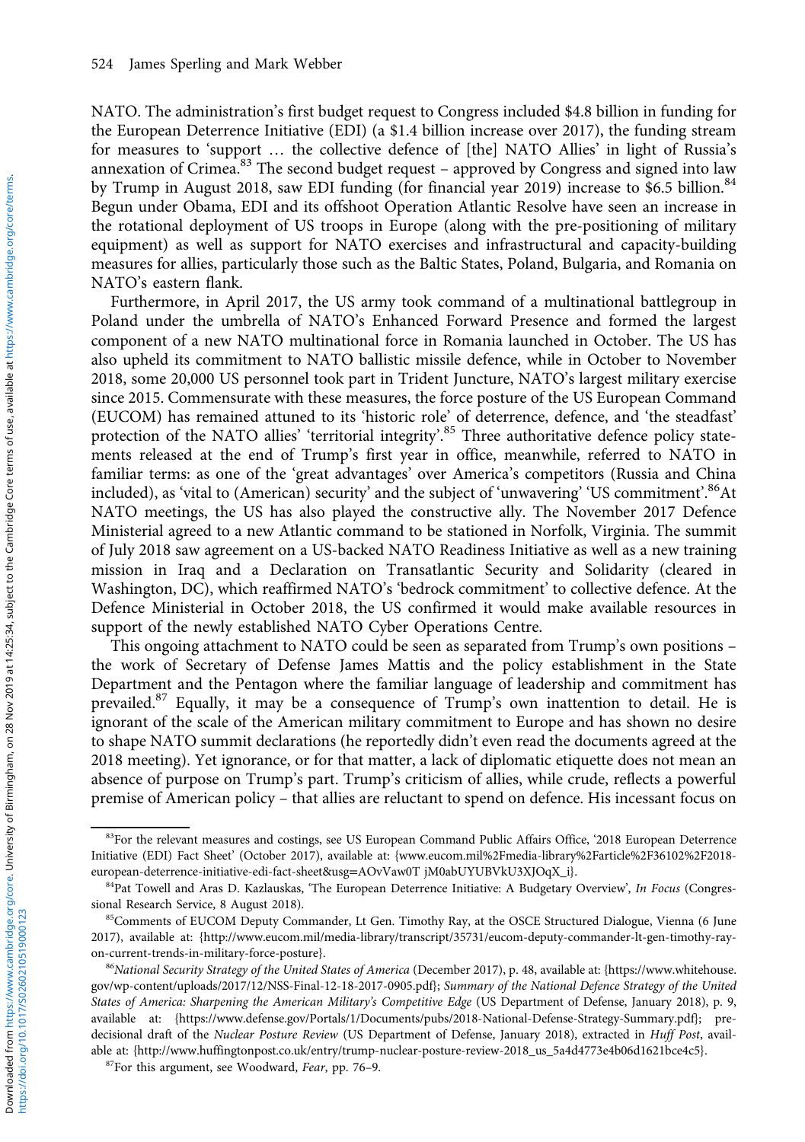NATO. The administration's first budget request to Congress included \$4.8 billion in funding for the European Deterrence Initiative (EDI) (a \$1.4 billion increase over 2017), the funding stream for measures to 'support … the collective defence of [the] NATO Allies' in light of Russia's annexation of Crimea.<sup>83</sup> The second budget request - approved by Congress and signed into law by Trump in August 2018, saw EDI funding (for financial year 2019) increase to \$6.5 billion.<sup>84</sup> Begun under Obama, EDI and its offshoot Operation Atlantic Resolve have seen an increase in the rotational deployment of US troops in Europe (along with the pre-positioning of military equipment) as well as support for NATO exercises and infrastructural and capacity-building measures for allies, particularly those such as the Baltic States, Poland, Bulgaria, and Romania on NATO's eastern flank.

Furthermore, in April 2017, the US army took command of a multinational battlegroup in Poland under the umbrella of NATO's Enhanced Forward Presence and formed the largest component of a new NATO multinational force in Romania launched in October. The US has also upheld its commitment to NATO ballistic missile defence, while in October to November 2018, some 20,000 US personnel took part in Trident Juncture, NATO's largest military exercise since 2015. Commensurate with these measures, the force posture of the US European Command (EUCOM) has remained attuned to its 'historic role' of deterrence, defence, and 'the steadfast' protection of the NATO allies' 'territorial integrity'.<sup>85</sup> Three authoritative defence policy statements released at the end of Trump's first year in office, meanwhile, referred to NATO in familiar terms: as one of the 'great advantages' over America's competitors (Russia and China included), as 'vital to (American) security' and the subject of 'unwavering' 'US commitment'. 86At NATO meetings, the US has also played the constructive ally. The November 2017 Defence Ministerial agreed to a new Atlantic command to be stationed in Norfolk, Virginia. The summit of July 2018 saw agreement on a US-backed NATO Readiness Initiative as well as a new training mission in Iraq and a Declaration on Transatlantic Security and Solidarity (cleared in Washington, DC), which reaffirmed NATO's 'bedrock commitment' to collective defence. At the Defence Ministerial in October 2018, the US confirmed it would make available resources in support of the newly established NATO Cyber Operations Centre.

This ongoing attachment to NATO could be seen as separated from Trump's own positions – the work of Secretary of Defense James Mattis and the policy establishment in the State Department and the Pentagon where the familiar language of leadership and commitment has prevailed.<sup>87</sup> Equally, it may be a consequence of Trump's own inattention to detail. He is ignorant of the scale of the American military commitment to Europe and has shown no desire to shape NATO summit declarations (he reportedly didn't even read the documents agreed at the 2018 meeting). Yet ignorance, or for that matter, a lack of diplomatic etiquette does not mean an absence of purpose on Trump's part. Trump's criticism of allies, while crude, reflects a powerful premise of American policy – that allies are reluctant to spend on defence. His incessant focus on

<sup>83</sup>For the relevant measures and costings, see US European Command Public Affairs Office, '2018 European Deterrence Initiative (EDI) Fact Sheet' (October 2017), available at: {[www.eucom.mil%2Fmedia-library%2Farticle%2F36102%2F2018](www.eucom.mil%2Fmedia-library%2Farticle%2F36102%2F2018-european-deterrence-initiative-edi-fact-sheet&usg=AOvVaw0T jM0abUYUBVkU3XJOqX_i) [european-deterrence-initiative-edi-fact-sheet&usg](www.eucom.mil%2Fmedia-library%2Farticle%2F36102%2F2018-european-deterrence-initiative-edi-fact-sheet&usg=AOvVaw0T jM0abUYUBVkU3XJOqX_i)=AOvVaw0T jM0abUYUBVkU3XJOqX\_i}.

<sup>&</sup>lt;sup>84</sup>Pat Towell and Aras D. Kazlauskas, 'The European Deterrence Initiative: A Budgetary Overview', In Focus (Congressional Research Service, 8 August 2018).

<sup>85</sup>Comments of EUCOM Deputy Commander, Lt Gen. Timothy Ray, at the OSCE Structured Dialogue, Vienna (6 June 2017), available at: {[http://www.eucom.mil/media-library/transcript/35731/eucom-deputy-commander-lt-gen-timothy-ray](http://www.eucom.mil/media-library/transcript/35731/eucom-deputy-commander-lt-gen-timothy-ray-on-current-trends-in-military-force-posture)[on-current-trends-in-military-force-posture](http://www.eucom.mil/media-library/transcript/35731/eucom-deputy-commander-lt-gen-timothy-ray-on-current-trends-in-military-force-posture)}.

<sup>86</sup> National Security Strategy of the United States of America (December 2017), p. 48, available at: {[https://www.whitehouse.](https://www.whitehouse.gov/wp-content/uploads/2017�/�12/NSS-Final-12-18-2017-0905.pdf) [gov/wp-content/uploads/2017/12/NSS-Final-12-18-2017-0905.pdf](https://www.whitehouse.gov/wp-content/uploads/2017�/�12/NSS-Final-12-18-2017-0905.pdf)}; Summary of the National Defence Strategy of the United States of America: Sharpening the American Military's Competitive Edge (US Department of Defense, January 2018), p. 9, available at: {[https://www.defense.gov/Portals/1/Documents/pubs/2018-National-Defense-Strategy-Summary.pdf}](https://www.defense.gov/Portals/1/Documents/pubs/2018-National-Defense-Strategy-Summary.pdf); predecisional draft of the Nuclear Posture Review (US Department of Defense, January 2018), extracted in Huff Post, available at: [{http://www.huffingtonpost.co.uk/entry/trump-nuclear-posture-review-2018\\_us\\_5a4d4773e4b06d1621bce4c5](http://www.huffingtonpost.co.uk/entry/trump-nuclear-posture-review-2018_us_5a4d4773e4b06d1621bce4c5)}.

<sup>87</sup>For this argument, see Woodward, Fear, pp. 76–9.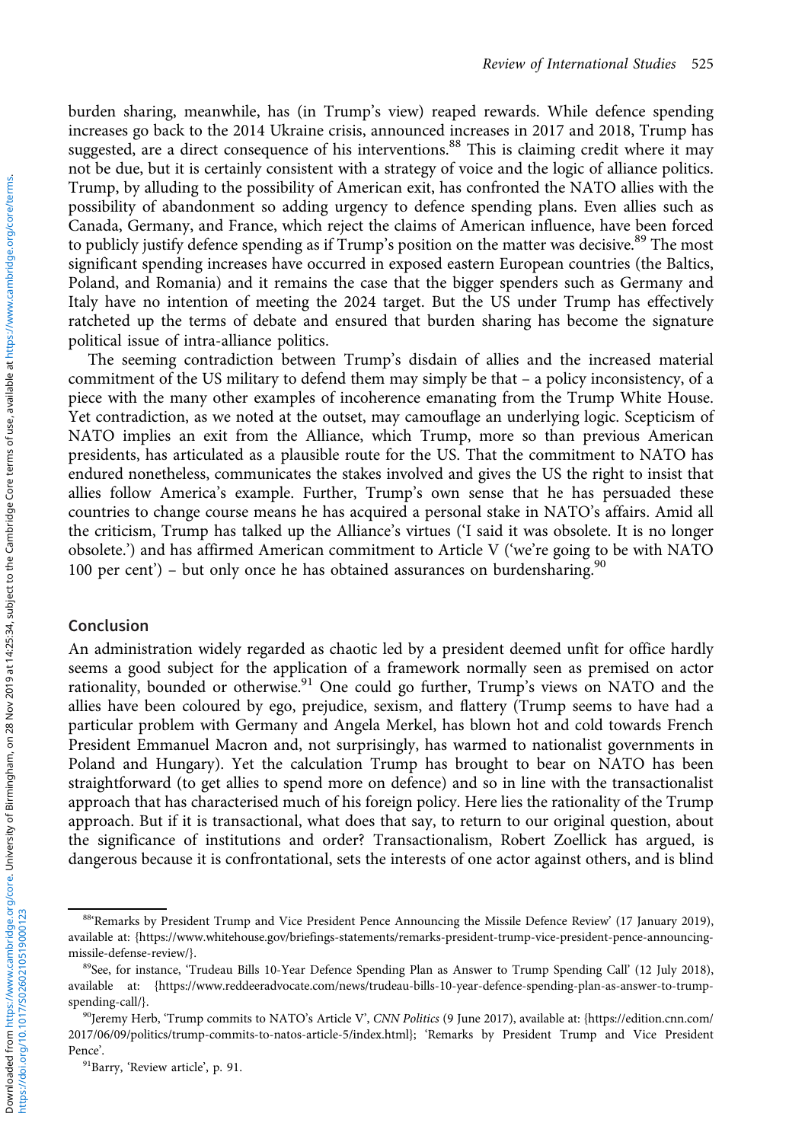burden sharing, meanwhile, has (in Trump's view) reaped rewards. While defence spending increases go back to the 2014 Ukraine crisis, announced increases in 2017 and 2018, Trump has suggested, are a direct consequence of his interventions.<sup>88</sup> This is claiming credit where it may not be due, but it is certainly consistent with a strategy of voice and the logic of alliance politics. Trump, by alluding to the possibility of American exit, has confronted the NATO allies with the possibility of abandonment so adding urgency to defence spending plans. Even allies such as Canada, Germany, and France, which reject the claims of American influence, have been forced to publicly justify defence spending as if Trump's position on the matter was decisive.<sup>89</sup> The most significant spending increases have occurred in exposed eastern European countries (the Baltics, Poland, and Romania) and it remains the case that the bigger spenders such as Germany and Italy have no intention of meeting the 2024 target. But the US under Trump has effectively ratcheted up the terms of debate and ensured that burden sharing has become the signature political issue of intra-alliance politics.

The seeming contradiction between Trump's disdain of allies and the increased material commitment of the US military to defend them may simply be that – a policy inconsistency, of a piece with the many other examples of incoherence emanating from the Trump White House. Yet contradiction, as we noted at the outset, may camouflage an underlying logic. Scepticism of NATO implies an exit from the Alliance, which Trump, more so than previous American presidents, has articulated as a plausible route for the US. That the commitment to NATO has endured nonetheless, communicates the stakes involved and gives the US the right to insist that allies follow America's example. Further, Trump's own sense that he has persuaded these countries to change course means he has acquired a personal stake in NATO's affairs. Amid all the criticism, Trump has talked up the Alliance's virtues ('I said it was obsolete. It is no longer obsolete.') and has affirmed American commitment to Article V ('we're going to be with NATO 100 per cent') – but only once he has obtained assurances on burdensharing.<sup>90</sup>

#### Conclusion

An administration widely regarded as chaotic led by a president deemed unfit for office hardly seems a good subject for the application of a framework normally seen as premised on actor rationality, bounded or otherwise.<sup>91</sup> One could go further, Trump's views on NATO and the allies have been coloured by ego, prejudice, sexism, and flattery (Trump seems to have had a particular problem with Germany and Angela Merkel, has blown hot and cold towards French President Emmanuel Macron and, not surprisingly, has warmed to nationalist governments in Poland and Hungary). Yet the calculation Trump has brought to bear on NATO has been straightforward (to get allies to spend more on defence) and so in line with the transactionalist approach that has characterised much of his foreign policy. Here lies the rationality of the Trump approach. But if it is transactional, what does that say, to return to our original question, about the significance of institutions and order? Transactionalism, Robert Zoellick has argued, is dangerous because it is confrontational, sets the interests of one actor against others, and is blind

<sup>88</sup>'Remarks by President Trump and Vice President Pence Announcing the Missile Defence Review' (17 January 2019), available at: [{https://www.whitehouse.gov/briefings-statements/remarks-president-trump-vice-president-pence-announcing](https://www.whitehouse.gov/briefings-statements/remarks-president-trump-vice-president-pence-announcing-missile-defense-review/)[missile-defense-review/}](https://www.whitehouse.gov/briefings-statements/remarks-president-trump-vice-president-pence-announcing-missile-defense-review/).

<sup>&</sup>lt;sup>89</sup>See, for instance, 'Trudeau Bills 10-Year Defence Spending Plan as Answer to Trump Spending Call' (12 July 2018), available at: [{https://www.reddeeradvocate.com/news/trudeau-bills-10-year-defence-spending-plan-as-answer-to-trump](https://www.reddeeradvocate.com/news/trudeau-bills-10-year-defence-spending-plan-as-answer-to-trump-spending-call/)[spending-call/}](https://www.reddeeradvocate.com/news/trudeau-bills-10-year-defence-spending-plan-as-answer-to-trump-spending-call/).

<sup>90</sup>Jeremy Herb, 'Trump commits to NATO's Article V', CNN Politics (9 June 2017), available at: [{https://edition.cnn.com/](https://edition.cnn.com/2017�/�06/09/politics/trump-commits-to-natos-article-5/index.html) [2017/06/09/politics/trump-commits-to-natos-article-5/index.html}](https://edition.cnn.com/2017�/�06/09/politics/trump-commits-to-natos-article-5/index.html); 'Remarks by President Trump and Vice President Pence'.

<sup>91</sup>Barry, 'Review article', p. 91.